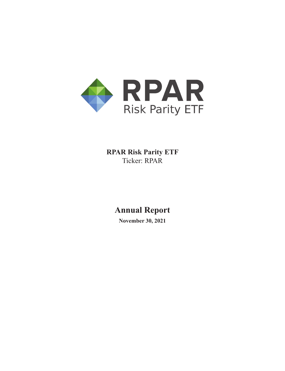

**RPAR Risk Parity ETF** Ticker: RPAR

**Annual Report**

**November 30, 2021**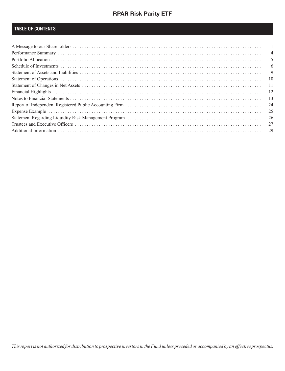# **TABLE OF CONTENTS**

| $\overline{4}$ |
|----------------|
|                |
| 6              |
| 9              |
| 10             |
| -11            |
| -12            |
| 13             |
| 24             |
| 25             |
| 26             |
| 27             |
| 29             |
|                |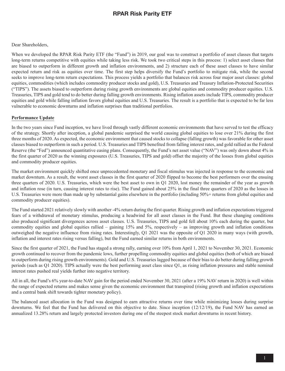#### Dear Shareholders,

When we developed the RPAR Risk Parity ETF (the "Fund") in 2019, our goal was to construct a portfolio of asset classes that targets long-term returns competitive with equities while taking less risk. We took two critical steps in this process: 1) select asset classes that are biased to outperform in different growth and inflation environments, and 2) structure each of these asset classes to have similar expected return and risk as equities over time. The first step helps diversify the Fund's portfolio to mitigate risk, while the second seeks to improve long-term return expectations. This process yields a portfolio that balances risk across four major asset classes: global equities, commodities (which includes commodity producer stocks and gold), U.S. Treasuries and Treasury Inflation-Protected Securities ("TIPS"). The assets biased to outperform during rising growth environments are global equities and commodity producer equities. U.S. Treasuries, TIPS and gold tend to do better during falling growth environments. Rising inflation assets include TIPS, commodity producer equities and gold while falling inflation favors global equities and U.S. Treasuries. The result is a portfolio that is expected to be far less vulnerable to economic downturns and inflation surprises than traditional portfolios.

### **Performance Update**

In the two years since Fund inception, we have lived through vastly different economic environments that have served to test the efficacy of the strategy. Shortly after inception, a global pandemic surprised the world causing global equities to lose over 21% during the first three months of 2020. As expected, the economic environment that caused stocks to collapse (falling growth) was favorable for other asset classes biased to outperform in such a period. U.S. Treasuries and TIPS benefited from falling interest rates, and gold rallied as the Federal Reserve (the "Fed") announced quantitative easing plans. Consequently, the Fund's net asset value ("NAV") was only down about 4% in the first quarter of 2020 as the winning exposures (U.S. Treasuries, TIPS and gold) offset the majority of the losses from global equities and commodity producer equities.

The market environment quickly shifted once unprecedented monetary and fiscal stimulus was injected in response to the economic and market downturn. As a result, the worst asset classes in the first quarter of 2020 flipped to become the best performers over the ensuing three quarters of 2020. U.S. Treasuries, which were the best asset to own in Q1 2020, lost money the remainder of the year as growth and inflation rose (in turn, causing interest rates to rise). The Fund gained about 25% in the final three quarters of 2020 as the losses in U.S. Treasuries were more than made up by substantial gains elsewhere in the portfolio (including 50%+ returns from global equities and commodity producer equities).

The Fund started 2021 relatively slowly with another -4% return during the first quarter. Rising growth and inflation expectations triggered fears of a withdrawal of monetary stimulus, producing a headwind for all asset classes in the Fund. But these changing conditions also produced significant divergences across asset classes. U.S. Treasuries, TIPS and gold fell about 10% each during the quarter, but commodity equities and global equities rallied – gaining 15% and 5%, respectively – as improving growth and inflation conditions outweighed the negative influence from rising rates. Interestingly, Q1 2021 was the opposite of Q1 2020 in many ways (with growth, inflation and interest rates rising versus falling), but the Fund earned similar returns in both environments.

Since the first quarter of 2021, the Fund has staged a strong rally, earning over 10% from April 1, 2021 to November 30, 2021. Economic growth continued to recover from the pandemic lows, further propelling commodity equities and global equities (both of which are biased to outperform during rising growth environments). Gold and U.S. Treasuries lagged because of their bias to do better during falling growth periods (such as Q1 2020). TIPS actually were the best performing asset class since Q1, as rising inflation pressures and stable nominal interest rates pushed real yields further into negative territory.

All in all, the Fund's 6% year-to-date NAV gain for the period ended November 30, 2021 (after a 19% NAV return in 2020) is well within the range of expected returns and makes sense given the economic environment that transpired (rising growth and inflation expectations and a central bank shift towards tighter monetary policy).

The balanced asset allocation in the Fund was designed to earn attractive returns over time while minimizing losses during surprise downturns. We feel that the Fund has delivered on this objective to date. Since inception (12/12/19), the Fund NAV has earned an annualized 13.28% return and largely protected investors during one of the steepest stock market downturns in recent history.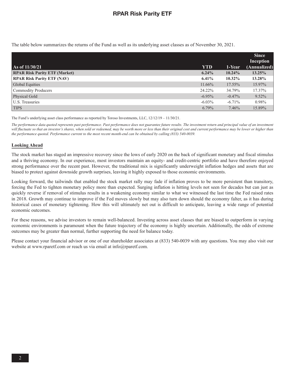The table below summarizes the returns of the Fund as well as its underlying asset classes as of November 30, 2021.

|                                      |            |           | <b>Since</b> |
|--------------------------------------|------------|-----------|--------------|
|                                      |            |           | Inception    |
| As of 11/30/21                       | <b>YTD</b> | 1-Year    | (Annualized) |
| <b>RPAR Risk Parity ETF (Market)</b> | $6.24\%$   | $10.24\%$ | 13.25%       |
| <b>RPAR Risk Parity ETF (NAV)</b>    | $6.41\%$   | $10.32\%$ | 13.28%       |
| <b>Global Equities</b>               | 11.66%     | 17.55%    | 15.97%       |
| Commodity Producers                  | 24.22%     | 34.79%    | 17.37%       |
| Physical Gold                        | $-6.95%$   | $-0.47\%$ | $9.52\%$     |
| <b>U.S. Treasuries</b>               | $-6.03\%$  | $-6.71\%$ | $0.98\%$     |
| <b>TIPS</b>                          | $6.79\%$   | 7.46%     | 15.89%       |

The Fund's underlying asset class performance as reported by Toroso Investments, LLC, 12/12/19 – 11/30/21.

The performance data quoted represents past performance. Past performance does not guarantee future results. The investment return and principal value of an investment will fluctuate so that an investor's shares, when sold or redeemed, may be worth more or less than their original cost and current performance may be lower or higher than *the performance quoted. Performance current to the most recent month-end can be obtained by calling (833) 540-0039.*

#### **Looking Ahead**

The stock market has staged an impressive recovery since the lows of early 2020 on the back of significant monetary and fiscal stimulus and a thriving economy. In our experience, most investors maintain an equity- and credit-centric portfolio and have therefore enjoyed strong performance over the recent past. However, the traditional mix is significantly underweight inflation hedges and assets that are biased to protect against downside growth surprises, leaving it highly exposed to those economic environments.

Looking forward, the tailwinds that enabled the stock market rally may fade if inflation proves to be more persistent than transitory, forcing the Fed to tighten monetary policy more than expected. Surging inflation is hitting levels not seen for decades but can just as quickly reverse if removal of stimulus results in a weakening economy similar to what we witnessed the last time the Fed raised rates in 2018. Growth may continue to improve if the Fed moves slowly but may also turn down should the economy falter, as it has during historical cases of monetary tightening. How this will ultimately net out is difficult to anticipate, leaving a wide range of potential economic outcomes.

For these reasons, we advise investors to remain well-balanced. Investing across asset classes that are biased to outperform in varying economic environments is paramount when the future trajectory of the economy is highly uncertain. Additionally, the odds of extreme outcomes may be greater than normal, further supporting the need for balance today.

Please contact your financial advisor or one of our shareholder associates at (833) 540-0039 with any questions. You may also visit our website at www.rparetf.com or reach us via email at info@rparetf.com.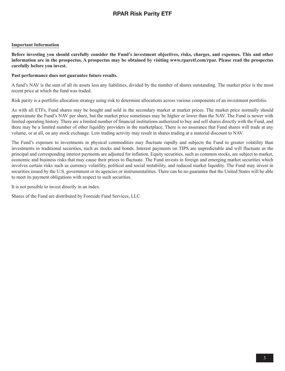### **Important Information**

**Before investing you should carefully consider the Fund's investment objectives, risks, charges, and expenses. This and other information are in the prospectus. A prospectus may be obtained by visiting www.rparetf.com/rpar. Please read the prospectus carefully before you invest.**

#### **Past performance does not guarantee future results.**

A fund's NAV is the sum of all its assets less any liabilities, divided by the number of shares outstanding. The market price is the most recent price at which the fund was traded.

Risk parity is a portfolio allocation strategy using risk to determine allocations across various components of an investment portfolio.

As with all ETFs, Fund shares may be bought and sold in the secondary market at market prices. The market price normally should approximate the Fund's NAV per share, but the market price sometimes may be higher or lower than the NAV. The Fund is newer with limited operating history. There are a limited number of financial institutions authorized to buy and sell shares directly with the Fund, and there may be a limited number of other liquidity providers in the marketplace. There is no assurance that Fund shares will trade at any volume, or at all, on any stock exchange. Low trading activity may result in shares trading at a material discount to NAV.

The Fund's exposure to investments in physical commodities may fluctuate rapidly and subjects the Fund to greater volatility than investments in traditional securities, such as stocks and bonds. Interest payments on TIPS are unpredictable and will fluctuate as the principal and corresponding interest payments are adjusted for inflation. Equity securities, such as common stocks, are subject to market, economic and business risks that may cause their prices to fluctuate. The Fund invests in foreign and emerging market securities which involves certain risks such as currency volatility, political and social instability, and reduced market liquidity. The Fund may invest in securities issued by the U.S. government or its agencies or instrumentalities. There can be no guarantee that the United States will be able to meet its payment obligations with respect to such securities.

It is not possible to invest directly in an index.

Shares of the Fund are distributed by Foreside Fund Services, LLC.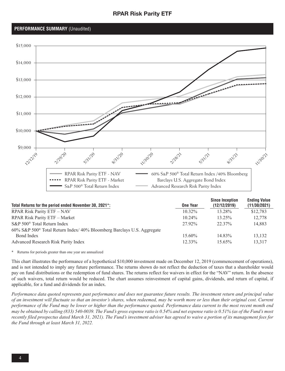### **PERFORMANCE SUMMARY** (Unaudited)



| Total Returns for the period ended November 30, 2021*:                             | One Year  | <b>Since Inception</b><br>(12/12/2019) | <b>Ending Value</b><br>(11/30/2021) |
|------------------------------------------------------------------------------------|-----------|----------------------------------------|-------------------------------------|
| RPAR Risk Parity ETF - NAV                                                         | $10.32\%$ | 13.28%                                 | \$12,783                            |
| RPAR Risk Parity ETF - Market                                                      | $10.24\%$ | $13.25\%$                              | 12,778                              |
| S&P 500 <sup>®</sup> Total Return Index                                            | 27 92%    | 22 37%                                 | 14,883                              |
| 60% S&P 500 <sup>®</sup> Total Return Index/ 40% Bloomberg Barclays U.S. Aggregate |           |                                        |                                     |
| Bond Index                                                                         | $15.60\%$ | 14.83%                                 | 13,132                              |
| Advanced Research Risk Parity Index                                                | $12.33\%$ | $15.65\%$                              | 13.317                              |

\* Returns for periods greater than one year are annualized

This chart illustrates the performance of a hypothetical \$10,000 investment made on December 12, 2019 (commencement of operations), and is not intended to imply any future performance. The returns shown do not reflect the deduction of taxes that a shareholder would pay on fund distributions or the redemption of fund shares. The returns reflect fee waivers in effect for the "NAV" return. In the absence of such waivers, total return would be reduced. The chart assumes reinvestment of capital gains, dividends, and return of capital, if applicable, for a fund and dividends for an index.

*Performance data quoted represents past performance and does not guarantee future results. The investment return and principal value of an investment will fluctuate so that an investor's shares, when redeemed, may be worth more or less than their original cost. Current performance of the Fund may be lower or higher than the performance quoted. Performance data current to the most recent month end may be obtained by calling (833) 540-0039. The Fund's gross expense ratio is 0.54% and net expense ratio is 0.51% (as of the Fund's most recently filed prospectus dated March 31, 2021). The Fund's investment adviser has agreed to waive a portion of its management fees for the Fund through at least March 31, 2022.*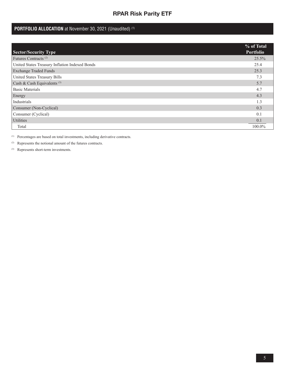# **PORTFOLIO ALLOCATION** at November 30, 2021 (Unaudited) (1)

| <b>Sector/Security Type</b>                    | % of Total<br>Portfolio |
|------------------------------------------------|-------------------------|
| Futures Contracts <sup>(2)</sup>               | 25.5%                   |
| United States Treasury Inflation Indexed Bonds | 25.4                    |
| <b>Exchange Traded Funds</b>                   | 25.3                    |
| United States Treasury Bills                   | 7.3                     |
| Cash & Cash Equivalents <sup>(3)</sup>         | 5.7                     |
| <b>Basic Materials</b>                         | 4.7                     |
| Energy                                         | 4.3                     |
| Industrials                                    | 1.3                     |
| Consumer (Non-Cyclical)                        | 0.3                     |
| Consumer (Cyclical)                            | 0.1                     |
| <b>Utilities</b>                               | 0.1                     |
| Total                                          | 100.0%                  |

(1) Percentages are based on total investments, including derivative contracts.

(2) Represents the notional amount of the futures contracts.

(3) Represents short-term investments.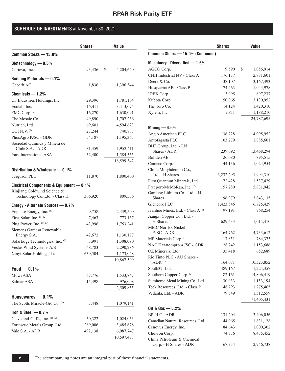### **SCHEDULE OF INVESTMENTS** at November 30, 2021

|                                           | <b>Shares</b> | <b>Value</b>    |
|-------------------------------------------|---------------|-----------------|
| Common Stocks - 15.0%                     |               |                 |
| Biotechnology $-0.3%$                     |               |                 |
| Corteva, Inc.                             | 93,436        | \$<br>4,204,620 |
| Building Materials - 0.1%                 |               |                 |
| Geberit AG                                | 1,836         | 1,396,344       |
| Chemicals $-1.2%$                         |               |                 |
| CF Industries Holdings, Inc.              | 29,396        | 1,781,104       |
| Ecolab, Inc.                              | 15,411        | 3,413,074       |
| FMC Corp. (2)                             | 16,270        | 1,630,091       |
| The Mosaic Co.                            | 49,890        | 1,707,236       |
| Nutrien, Ltd.                             | 69,603        | 4,594,623       |
| OCI N.V. $(1)$                            | 27,244        | 740,883         |
| PhosAgro PJSC - GDR                       | 54,187        | 1,195,365       |
| Sociedad Quimica y Minera de              |               |                 |
| Chile S.A. - ADR                          | 31,359        | 1,952,411       |
| Yara International ASA                    | 32,400        | 1,584,555       |
|                                           |               | 18,599,342      |
| Distribution & Wholesale - 0.1%           |               |                 |
| Ferguson PLC                              | 11,870        | 1,800,460       |
| Electrical Components & Equipment - 0.1%  |               |                 |
| Xinjiang Goldwind Science &               |               |                 |
| Technology Co. Ltd. - Class H             | 366,920       | 809,536         |
| Energy - Alternate Sources — 0.7%         |               |                 |
| Enphase Energy, Inc. (1)                  | 9,758         | 2,439,500       |
| First Solar, Inc. (1) (2)                 | 7,463         | 773,167         |
| Plug Power, Inc. (1) (2)                  | 43,996        | 1,753,241       |
| Siemens Gamesa Renewable                  |               |                 |
| Energy S.A.                               | 42,672        | 1,130,177       |
| SolarEdge Technologies, Inc. (1)          | 3,991         | 1,308,090       |
| Vestas Wind Systems A/S                   | 68,783        | 2,290,286       |
| Xinyi Solar Holdings, Ltd.                | 639,504       | 1,173,048       |
|                                           |               | 10,867,509      |
| $Food - 0.1%$                             |               |                 |
| Mowi ASA                                  | 67,776        | 1,533,847       |
| Salmar ASA                                | 15,498        | 976,008         |
|                                           |               | 2,509,855       |
| Housewares $-0.1%$                        |               |                 |
| The Scotts Miracle-Gro Co. <sup>(2)</sup> | 7,448         |                 |
|                                           |               | 1,079,141       |
| Iron & Steel $-0.7%$                      |               |                 |
| Cleveland-Cliffs, Inc. (1) (2)            | 50,322        | 1,024,053       |
| Fortescue Metals Group, Ltd.              | 289,006       | 3,485,678       |
| Vale S.A. - ADR                           | 492,138       | 6,087,747       |
|                                           |               | 10,597,478      |

|                                                   | <b>Shares</b>    | Value                   |
|---------------------------------------------------|------------------|-------------------------|
| Common Stocks - 15.0% (Continued)                 |                  |                         |
| Machinery - Diversified - 1.6%                    |                  |                         |
| AGCO Corp.                                        | 9,590            | \$<br>1,056,914         |
| CNH Industrial NV - Class A                       | 176,137          | 2,881,601               |
| Deere & Co.                                       | 38,107           | 13,167,493              |
| Husqvarna AB - Class B                            | 74,463           | 1,044,978               |
| <b>IDEX Corp.</b>                                 | 3,995            | 897,237                 |
| Kubota Corp.                                      | 150,065          | 3,130,952               |
| The Toro Co.                                      | 14,124           | 1,420,310               |
| Xylem, Inc.                                       | 9,811            | 1,188,210               |
|                                                   |                  | 24,787,695              |
| Mining $-4.6%$                                    |                  |                         |
| Anglo American PLC                                | 136,228          | 4,995,952               |
| Antofagasta PLC                                   | 103,279          | 1,885,601               |
| BHP Group, Ltd. - LN                              |                  |                         |
| Shares - ADR <sup>(2)</sup>                       | 239,692          | 13,468,294              |
| Boliden AB                                        | 26,080           | 895,515                 |
| Cameco Corp.                                      | 44,136           | 1,024,954               |
| China Molybdenum Co.,                             |                  |                         |
| Ltd. - H Shares                                   | 3,232,295        | 1,994,310               |
| First Quantum Minerals, Ltd.                      | 72,428           | 1,537,429               |
| Freeport-McMoRan, Inc. (2)                        | 157,280          | 5,831,942               |
| Ganfeng Lithium Co., Ltd. - H                     |                  |                         |
| <b>Shares</b>                                     | 196,979          | 3,843,135               |
| Glencore PLC                                      | 1,423,546        | 6,725,429               |
| Ivanhoe Mines, Ltd. - Class A <sup>(1)</sup>      | 97,191           | 768,254                 |
| Jiangxi Copper Co., Ltd. -                        |                  |                         |
| H Shares                                          | 629,633          | 1,014,410               |
| <b>MMC Norilsk Nickel</b><br>PJSC - ADR           |                  |                         |
|                                                   | 164,762          | 4,733,612               |
| MP Materials Corp. (1)                            | 17,851           | 784,373                 |
| NAC Kazatomprom JSC - GDR                         | 28,242           | 1,153,686               |
| OZ Minerals, Ltd.                                 | 35,418           | 652,689                 |
| Rio Tinto PLC - AU Shares -<br>ADR <sup>(2)</sup> | 164,681          | 10,323,852              |
| South32, Ltd.                                     | 489,167          | 1,224,357               |
| Southern Copper Corp. (2)                         | 82,161           | 4,806,419               |
| Sumitomo Metal Mining Co., Ltd.                   | 30,933           | 1,153,194               |
| Teck Resources, Ltd. - Class B                    |                  | 1,275,465               |
| Vedanta, Ltd. - ADR                               | 48,293<br>79,549 |                         |
|                                                   |                  | 1,312,559<br>71,405,431 |
|                                                   |                  |                         |
| Oil & Gas $-5.2%$                                 |                  |                         |
| <b>BP PLC - ADR</b>                               | 131,204          | 3,406,056               |
| Canadian Natural Resources, Ltd.                  | 44,965           | 1,831,128               |
| Cenovus Energy, Inc.                              | 84,643           | 1,000,302               |
| Chevron Corp.                                     | 74,736           | 8,435,452               |
| China Petroleum & Chemical                        |                  |                         |
| Corp. - H Shares - ADR                            | 67,354           | 2,946,738               |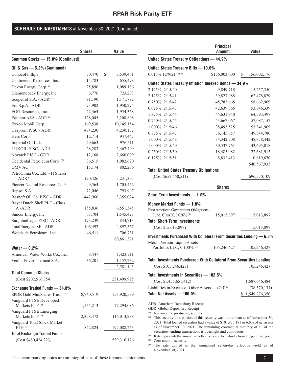### **SCHEDULE OF INVESTMENTS** at November 30, 2021 (Continued)

|                                                      | <b>Shares</b> | Value           |
|------------------------------------------------------|---------------|-----------------|
| Common Stocks - 15.0% (Continued)                    |               |                 |
| Oil & $Gas - 5.2%$ (Continued)                       |               |                 |
| ConocoPhillips                                       | 50,470        | \$<br>3,539,461 |
| Continental Resources, Inc.                          | 14,783        | 655,478         |
| Devon Energy Corp. <sup>(2)</sup>                    | 25,896        | 1,089,186       |
| Diamondback Energy, Inc.                             | 6,776         | 723,203         |
| Ecopetrol S.A. - ADR (2)                             | 91,190        | 1,171,792       |
| Eni S.p.A - ADR                                      | 73,902        | 1,950,274       |
| EOG Resources, Inc.                                  | 22,464        | 1,954,368       |
| Equinor ASA - ADR <sup>(2)</sup>                     | 128,045       | 3,208,808       |
| Exxon Mobil Corp.                                    | 169,538       | 10,145,154      |
| Gazprom PJSC - ADR                                   | 474,230       | 4,230,132       |
| Hess Corp.                                           | 12,714        | 947,447         |
| Imperial Oil Ltd.                                    | 29,663        | 976,511         |
| LUKOIL PJSC - ADR                                    | 28,283        | 2,467,409       |
| Novatek PJSC - GDR                                   | 12,168        | 2,666,009       |
| Occidental Petroleum Corp. (2)                       | 36,515        | 1,082,670       |
| <b>OMV AG</b>                                        | 15,174        | 802,236         |
| PetroChina Co., Ltd. - H Shares                      |               |                 |
| - ADR $(2)$                                          | 120,426       | 5,231,305       |
| Pioneer Natural Resources Co. (2)                    | 9,564         | 1,705,452       |
| Repsol S.A.                                          | 72,046        | 793,997         |
| Rosneft Oil Co. PJSC - GDR                           | 442,966       | 3,355,024       |
| Royal Dutch Shell PLC - Class                        |               |                 |
| A -ADR                                               | 155,836       | 6,551,345       |
| Suncor Energy, Inc.                                  | 63,704        | 1,545,423       |
| Surgutneftegas PJSC - ADR                            | 173,239       | 844,713         |
| TotalEnergies SE - ADR                               | 106,492       | 4,897,567       |
| Woodside Petroleum, Ltd.                             | 46,511        | 706,731         |
|                                                      |               | 80,861,371      |
| Water $-0.2%$                                        |               |                 |
| American Water Works Co., Inc.                       | 8,447         | 1,423,911       |
| Veolia Environnement S.A.                            | 36,201        | 1,157,232       |
|                                                      |               | 2,581,143       |
| <b>Total Common Stocks</b>                           |               |                 |
| (Cost \$202, 516, 354)                               |               | 231,499,925     |
| Exchange Traded Funds - 34.8%                        |               |                 |
| SPDR Gold MiniShares Trust <sup>(1)(2)</sup>         | 8,740,519     | 153,920,539     |
| Vanguard FTSE Developed                              |               |                 |
| Markets ETF <sup>(2)</sup>                           | 1,555,213     | 77,294,086      |
| Vanguard FTSE Emerging<br>Markets ETF <sup>(2)</sup> | 2,358,472     | 116,013,238     |
| Vanguard Total Stock Market<br>$ETF$ <sup>(2)</sup>  | 822,824       | 192,088,263     |
| <b>Total Exchange Traded Funds</b>                   |               |                 |
| (Cost \$480, 424, 223)                               |               | 539, 316, 126   |

|                                                                                                                                | Principal     |                   |
|--------------------------------------------------------------------------------------------------------------------------------|---------------|-------------------|
|                                                                                                                                | Amount        | Value             |
| United States Treasury Obligations - 44.9%                                                                                     |               |                   |
| United States Treasury Bills - 10.0%                                                                                           |               |                   |
| $0.017\%$ 12/9/21 (3)(4)                                                                                                       | \$156,003,000 | \$<br>156,002,176 |
| United States Treasury Inflation Indexed Bonds - 34.9%                                                                         |               |                   |
| 2.125%, 2/15/40                                                                                                                | 9,849,718     | 15,257,350        |
| 2.125%, 2/15/41                                                                                                                | 39,827,988    | 62,478,829        |
| $0.750\%, 2/15/42$                                                                                                             | 45,783,665    | 58,662,969        |
| $0.625\%, 2/15/43$                                                                                                             | 42,639,365    | 53,746,339        |
| 1.375%, 2/15/44                                                                                                                | 44,631,840    | 64,593,497        |
| $0.750\%, 2/15/45$                                                                                                             | 43,667,067    | 57,087,157        |
| $1.000\%$ , $2/15/46$                                                                                                          | 38,493,525    | 53,341,969        |
| $0.875\%, 2/15/47$                                                                                                             | 36, 145, 657  | 49,544,780        |
| 1.000%, 2/15/48                                                                                                                | 34, 342, 508  | 48,858,442        |
| 1.000%, 2/15/49                                                                                                                | 30,337,761    | 43,695,018        |
| 0.250%, 2/15/50                                                                                                                | 18,485,082    | 22,681,913        |
| $0.125\%, 2/15/51$                                                                                                             | 8,832,413     | 10,619,670        |
|                                                                                                                                |               | 540,567,933       |
| <b>Total United States Treasury Obligations</b>                                                                                |               |                   |
| (Cost \$652,450,511)                                                                                                           |               | 696,570,109       |
|                                                                                                                                |               |                   |
|                                                                                                                                | <b>Shares</b> |                   |
| Short-Term Investments - 1.0%                                                                                                  |               |                   |
| Money Market Funds - 1.0%                                                                                                      |               |                   |
| <b>First American Government Obligations</b>                                                                                   |               |                   |
| Fund, Class X, 0.026% (5)                                                                                                      | 15,013,897    | 15,013,897        |
| <b>Total Short-Term Investments</b>                                                                                            |               |                   |
| (Cost \$15,013,897)                                                                                                            |               | 15,013,897        |
| Investments Purchased With Collateral From Securities Lending - 6.8%                                                           |               |                   |
| Mount Vernon Liquid Assets                                                                                                     |               |                   |
| Portfolio, LLC, 0.100% (5)                                                                                                     | 105,246,427   | 105,246,427       |
|                                                                                                                                |               |                   |
| Total Investments Purchased With Collateral From Securities Lending                                                            |               |                   |
| (Cost \$105, 246, 427)                                                                                                         |               | 105,246,427       |
| Total Investments in Securities - 102.5%                                                                                       |               |                   |
| (Cost \$1,455,651,412)                                                                                                         |               | 1,587,646,484     |
| Liabilities in Excess of Other Assets $-$ (2.5)%                                                                               |               | (38,370,134)      |
| Total Net Assets - 100.0%                                                                                                      |               | 1,549,276,350     |
| <b>ADR</b> American Depositary Receipt                                                                                         |               |                   |
| GDR Global Depositary Receipt                                                                                                  |               |                   |
| (1)<br>Non-income producing security.<br>(2)<br>This security or a portion of this security was out on loan as of November 30, |               |                   |
| 2021. Total loaned securities had a value of \$101,833,181 or 6.6% of net assets                                               |               |                   |
| as of November 30, 2021. The remaining contractual maturity of all of the                                                      |               |                   |
| securities lending transactions is overnight and continuous.                                                                   |               |                   |

(3) Rate represents the annualized effective yield to maturity from the purchase price.

(4) Zero coupon security.

(5) The rate quoted is the annualized seven-day effective yield as of November 30, 2021.

The accompanying notes are an integral part of these financial statements. 7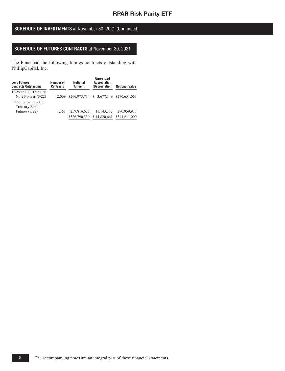### **SCHEDULE OF INVESTMENTS** at November 30, 2021 (Continued)

### **SCHEDULE OF FUTURES CONTRACTS** at November 30, 2021

The Fund had the following futures contracts outstanding with PhillipCapital, Inc.

| <b>Long Futures</b><br><b>Contracts Outstanding</b> | Number of<br><b>Contracts</b> | Notional<br>Amount         | Unrealized<br><b>Appreciation</b><br>(Depreciation) | <b>Notional Value</b> |
|-----------------------------------------------------|-------------------------------|----------------------------|-----------------------------------------------------|-----------------------|
| 10-Year U.S. Treasury<br>Note Futures $(3/22)$      | 2.069                         | \$266,973,714 \$ 3,677,349 |                                                     | \$270,651,063         |
| Ultra Long-Term U.S.<br><b>Treasury Bond</b>        |                               |                            |                                                     |                       |
| Futures $(3/22)$                                    | 1,351                         | 259,816,625                | 11, 143, 312                                        | 270,959,937           |
|                                                     |                               | \$526,790,339              | \$14,820,661                                        | \$541,611,000         |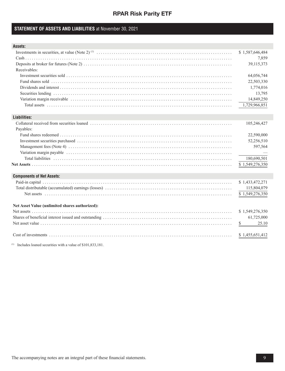## **STATEMENT OF ASSETS AND LIABILITIES** at November 30, 2021

| Assets:                                        |                 |
|------------------------------------------------|-----------------|
|                                                | \$1,587,646,484 |
|                                                | 7,859           |
|                                                | 39,115,373      |
| Receivables:                                   |                 |
|                                                | 64,056,744      |
|                                                | 22,503,330      |
|                                                | 1,774,016       |
|                                                | 13,795          |
|                                                | 14,849,250      |
|                                                | 1,729,966,851   |
|                                                |                 |
| Liabilities:                                   |                 |
|                                                | 105,246,427     |
| Payables:                                      |                 |
|                                                | 22,590,000      |
|                                                | 52,256,510      |
|                                                | 597,564         |
|                                                |                 |
|                                                | 180,690,501     |
|                                                | \$1,549,276,350 |
|                                                |                 |
| <b>Components of Net Assets:</b>               |                 |
|                                                | \$1,433,472,271 |
|                                                | 115,804,079     |
|                                                | \$1,549,276,350 |
| Net Asset Value (unlimited shares authorized): |                 |
|                                                | \$1,549,276,350 |
|                                                | 61,725,000      |
|                                                | 25.10<br>\$     |
|                                                |                 |
|                                                | \$1,455,651,412 |
|                                                |                 |

 $(1)$  Includes loaned securities with a value of \$101,833,181.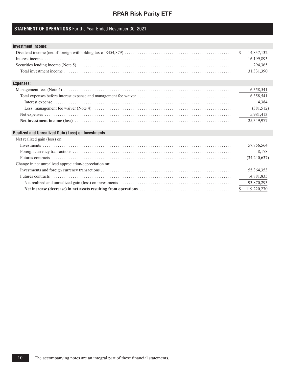### **STATEMENT OF OPERATIONS** For the Year Ended November 30, 2021

| <b>Investment Income:</b>                              |    |              |
|--------------------------------------------------------|----|--------------|
|                                                        | S. | 14,837,132   |
|                                                        |    | 16,199,893   |
|                                                        |    | 294,365      |
|                                                        |    | 31,331,390   |
|                                                        |    |              |
| <b>Expenses:</b>                                       |    |              |
|                                                        |    | 6,358,541    |
|                                                        |    | 6,358,541    |
|                                                        |    | 4,384        |
|                                                        |    | (381,512)    |
|                                                        |    | 5,981,413    |
|                                                        |    | 25,349,977   |
|                                                        |    |              |
| Realized and Unrealized Gain (Loss) on Investments     |    |              |
| Net realized gain (loss) on:                           |    |              |
|                                                        |    | 57,856,564   |
|                                                        |    | 8,178        |
|                                                        |    | (34,240,637) |
| Change in net unrealized appreciation/depreciation on: |    |              |
|                                                        |    | 55, 364, 353 |
|                                                        |    | 14,881,835   |
|                                                        |    | 93,870,293   |
|                                                        | S. | 119,220,270  |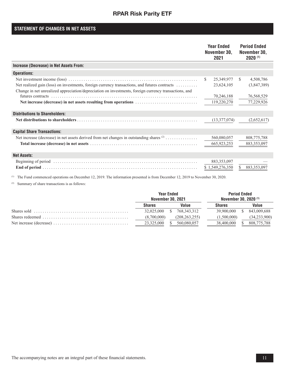## **STATEMENT OF CHANGES IN NET ASSETS**

|                                                                                                                                                                                                                                                                           | <b>Year Ended</b><br>November 30,<br>2021                   | <b>Period Ended</b><br>November 30,<br>2020(1)             |
|---------------------------------------------------------------------------------------------------------------------------------------------------------------------------------------------------------------------------------------------------------------------------|-------------------------------------------------------------|------------------------------------------------------------|
| Increase (Decrease) in Net Assets From:                                                                                                                                                                                                                                   |                                                             |                                                            |
| <b>Operations:</b>                                                                                                                                                                                                                                                        |                                                             |                                                            |
| Net realized gain (loss) on investments, foreign currency transactions, and futures contracts<br>Change in net unrealized appreciation/depreciation on investments, foreign currency transactions, and<br>Net increase (decrease) in net assets resulting from operations | S.<br>25,349,977<br>23,624,105<br>70,246,188<br>119,220,270 | S.<br>4,508,786<br>(3,847,389)<br>76,568,529<br>77,229,926 |
| <b>Distributions to Shareholders:</b>                                                                                                                                                                                                                                     |                                                             |                                                            |
|                                                                                                                                                                                                                                                                           | (13,377,074)                                                | (2,652,617)                                                |
| <b>Capital Share Transactions:</b>                                                                                                                                                                                                                                        |                                                             |                                                            |
| Net increase (decrease) in net assets derived from net changes in outstanding shares $(2)$                                                                                                                                                                                | 560,080,057<br>665,923,253                                  | 808,775,788<br>883, 353, 097                               |
| <b>Net Assets:</b>                                                                                                                                                                                                                                                        |                                                             |                                                            |
|                                                                                                                                                                                                                                                                           | 883, 353, 097<br>\$1,549,276,350                            | 883.353.097                                                |

(1) The Fund commenced operations on December 12, 2019. The information presented is from December 12, 2019 to November 30, 2020.

(2) Summary of share transactions is as follows:

| <b>Year Ended</b><br>November 30, 2021 |                   | <b>Period Ended</b><br>November 30, 2020 <sup>(1)</sup> |              |
|----------------------------------------|-------------------|---------------------------------------------------------|--------------|
| <b>Shares</b>                          | Value             | <b>Shares</b>                                           | Value        |
| 32,025,000                             | 768.343.312<br>S. | 39,900,000                                              | 843.009.688  |
| (8.700,000)                            | (208.263.255)     | (1.500.000)                                             | (34,233,900) |
| 23.325,000                             | 560.080.057       | 38,400,000                                              | 808,775,788  |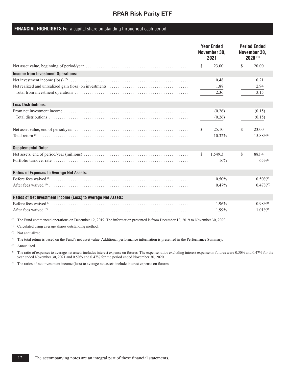### **FINANCIAL HIGHLIGHTS** For a capital share outstanding throughout each period

|                                                               |              | <b>Year Ended</b><br>November 30,<br>2021 |               | <b>Period Ended</b><br>November 30,<br>2020(1) |
|---------------------------------------------------------------|--------------|-------------------------------------------|---------------|------------------------------------------------|
|                                                               | $\mathbb{S}$ | 23.00                                     | $\mathcal{S}$ | 20.00                                          |
| <b>Income from Investment Operations:</b>                     |              |                                           |               |                                                |
|                                                               |              | 0.48                                      |               | 0.21                                           |
|                                                               |              | 1.88                                      |               | 2.94                                           |
|                                                               |              | 2.36                                      |               | 3.15                                           |
| <b>Less Distributions:</b>                                    |              |                                           |               |                                                |
| From net investment income                                    |              | (0.26)                                    |               | (0.15)                                         |
|                                                               |              | (0.26)                                    |               | (0.15)                                         |
|                                                               | S.           | 25.10                                     |               | 23.00                                          |
|                                                               |              | 10.32%                                    |               | $15.88\%^{(3)}$                                |
| <b>Supplemental Data:</b>                                     |              |                                           |               |                                                |
|                                                               | $\mathbb{S}$ | 1,549.3                                   | $\mathcal{S}$ | 883.4                                          |
|                                                               |              | 16%                                       |               | $65\%^{(3)}$                                   |
| <b>Ratios of Expenses to Average Net Assets:</b>              |              |                                           |               |                                                |
|                                                               |              | 0.50%                                     |               | $0.50\%^{(5)}$                                 |
|                                                               |              | 0.47%                                     |               | $0.47\%^{(5)}$                                 |
| Ratios of Net Investment Income (Loss) to Average Net Assets: |              |                                           |               |                                                |
|                                                               |              | 1.96%                                     |               | $0.98\%^{(5)}$                                 |
|                                                               |              | 1.99%                                     |               | $1.01\%^{(5)}$                                 |

(1) The Fund commenced operations on December 12, 2019. The information presented is from December 12, 2019 to November 30, 2020.

(2) Calculated using average shares outstanding method.

(3) Not annualized.

(4) The total return is based on the Fund's net asset value. Additional performance information is presented in the Performance Summary.

(5) Annualized.

(6) The ratio of expenses to average net assets includes interest expense on futures. The expense ratios excluding interest expense on futures were 0.50% and 0.47% for the year ended November 30, 2021 and 0.50% and 0.47% for the period ended November 30, 2020.

(7) The ratios of net investment income (loss) to average net assets include interest expense on futures.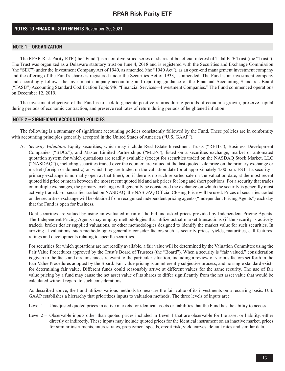### **NOTES TO FINANCIAL STATEMENTS** November 30, 2021

#### **NOTE 1 – ORGANIZATION**

The RPAR Risk Parity ETF (the "Fund") is a non-diversified series of shares of beneficial interest of Tidal ETF Trust (the "Trust"). The Trust was organized as a Delaware statutory trust on June 4, 2018 and is registered with the Securities and Exchange Commission (the "SEC") under the Investment Company Act of 1940, as amended (the "1940 Act"), as an open-end management investment company and the offering of the Fund's shares is registered under the Securities Act of 1933, as amended. The Fund is an investment company and accordingly follows the investment company accounting and reporting guidance of the Financial Accounting Standards Board ("FASB") Accounting Standard Codification Topic 946 "Financial Services—Investment Companies." The Fund commenced operations on December 12, 2019.

The investment objective of the Fund is to seek to generate positive returns during periods of economic growth, preserve capital during periods of economic contraction, and preserve real rates of return during periods of heightened inflation.

#### **NOTE 2 – SIGNIFICANT ACCOUNTING POLICIES**

The following is a summary of significant accounting policies consistently followed by the Fund. These policies are in conformity with accounting principles generally accepted in the United States of America ("U.S. GAAP").

A. *Security Valuation*. Equity securities, which may include Real Estate Investment Trusts ("REITs"), Business Development Companies ("BDCs"), and Master Limited Partnerships ("MLPs"), listed on a securities exchange, market or automated quotation system for which quotations are readily available (except for securities traded on the NASDAQ Stock Market, LLC ("NASDAQ")), including securities traded over the counter, are valued at the last quoted sale price on the primary exchange or market (foreign or domestic) on which they are traded on the valuation date (or at approximately 4:00 p.m. EST if a security's primary exchange is normally open at that time), or, if there is no such reported sale on the valuation date, at the most recent quoted bid price or mean between the most recent quoted bid and ask prices for long and short positions. For a security that trades on multiple exchanges, the primary exchange will generally be considered the exchange on which the security is generally most actively traded. For securities traded on NASDAQ, the NASDAQ Official Closing Price will be used. Prices of securities traded on the securities exchange will be obtained from recognized independent pricing agents ("Independent Pricing Agents") each day that the Fund is open for business.

Debt securities are valued by using an evaluated mean of the bid and asked prices provided by Independent Pricing Agents. The Independent Pricing Agents may employ methodologies that utilize actual market transactions (if the security is actively traded), broker dealer supplied valuations, or other methodologies designed to identify the market value for such securities. In arriving at valuations, such methodologies generally consider factors such as security prices, yields, maturities, call features, ratings and developments relating to specific securities.

For securities for which quotations are not readily available, a fair value will be determined by the Valuation Committee using the Fair Value Procedures approved by the Trust's Board of Trustees (the "Board"). When a security is "fair valued," consideration is given to the facts and circumstances relevant to the particular situation, including a review of various factors set forth in the Fair Value Procedures adopted by the Board. Fair value pricing is an inherently subjective process, and no single standard exists for determining fair value. Different funds could reasonably arrive at different values for the same security. The use of fair value pricing by a fund may cause the net asset value of its shares to differ significantly from the net asset value that would be calculated without regard to such considerations.

As described above, the Fund utilizes various methods to measure the fair value of its investments on a recurring basis. U.S. GAAP establishes a hierarchy that prioritizes inputs to valuation methods. The three levels of inputs are:

Level 1 – Unadjusted quoted prices in active markets for identical assets or liabilities that the Fund has the ability to access.

Level 2 – Observable inputs other than quoted prices included in Level 1 that are observable for the asset or liability, either directly or indirectly. These inputs may include quoted prices for the identical instrument on an inactive market, prices for similar instruments, interest rates, prepayment speeds, credit risk, yield curves, default rates and similar data.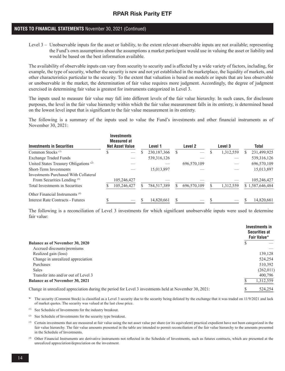### **NOTES TO FINANCIAL STATEMENTS** November 30, 2021 (Continued)

Level 3 – Unobservable inputs for the asset or liability, to the extent relevant observable inputs are not available; representing the Fund's own assumptions about the assumptions a market participant would use in valuing the asset or liability and would be based on the best information available.

The availability of observable inputs can vary from security to security and is affected by a wide variety of factors, including, for example, the type of security, whether the security is new and not yet established in the marketplace, the liquidity of markets, and other characteristics particular to the security. To the extent that valuation is based on models or inputs that are less observable or unobservable in the market, the determination of fair value requires more judgment. Accordingly, the degree of judgment exercised in determining fair value is greatest for instruments categorized in Level 3.

The inputs used to measure fair value may fall into different levels of the fair value hierarchy. In such cases, for disclosure purposes, the level in the fair value hierarchy within which the fair value measurement falls in its entirety, is determined based on the lowest level input that is significant to the fair value measurement in its entirety.

The following is a summary of the inputs used to value the Fund's investments and other financial instruments as of November 30, 2021:

| <b>Investments in Securities</b>                  |    | <b>Investments</b><br><b>Measured at</b><br><b>Net Asset Value</b> | Level 1       |   | Level 2     | Level 3   |    | <b>Total</b>    |
|---------------------------------------------------|----|--------------------------------------------------------------------|---------------|---|-------------|-----------|----|-----------------|
| Common Stocks <sup>(1)</sup>                      | .Ъ |                                                                    | 230, 187, 366 | S |             | 1,312,559 | S. | 231,499,925     |
| <b>Exchange Traded Funds</b>                      |    |                                                                    | 539, 316, 126 |   |             |           |    | 539, 316, 126   |
| United States Treasury Obligations <sup>(2)</sup> |    |                                                                    |               |   | 696,570,109 |           |    | 696,570,109     |
| Short-Term Investments                            |    |                                                                    | 15,013,897    |   |             |           |    | 15,013,897      |
| Investments Purchased With Collateral             |    |                                                                    |               |   |             |           |    |                 |
| From Securities Lending <sup>(3)</sup>            |    | 105.246.427                                                        |               |   |             |           |    | 105,246,427     |
| Total Investments in Securities                   |    | 105,246,427                                                        | 784,517,389   |   | 696,570,109 | 1,312,559 |    | \$1,587,646,484 |
| Other Financial Instruments <sup>(4)</sup>        |    |                                                                    |               |   |             |           |    |                 |
| Interest Rate Contracts - Futures                 |    |                                                                    | 14,820,661    |   |             |           |    | 14,820,661      |

The following is a reconciliation of Level 3 investments for which significant unobservable inputs were used to determine fair value:

|                                                                                                        |   | Investments in<br><b>Securities at</b><br>Fair Value* |
|--------------------------------------------------------------------------------------------------------|---|-------------------------------------------------------|
| <b>Balance as of November 30, 2020</b>                                                                 |   |                                                       |
| Accrued discounts/premiums                                                                             |   |                                                       |
| Realized gain (loss)                                                                                   |   | 139,128                                               |
| Change in unrealized appreciation                                                                      |   | 524,254                                               |
| Purchases                                                                                              |   | 510,392                                               |
| <b>Sales</b>                                                                                           |   | (262, 011)                                            |
| Transfer into and/or out of Level 3                                                                    |   | 400,796                                               |
| <b>Balance as of November 30, 2021</b>                                                                 |   | 1,312,559                                             |
| Change in unrealized appreciation during the period for Level 3 investments held at November 30, 2021: | S | 524.254                                               |

The security (Common Stock) is classified as a Level 3 security due to the security being delisted by the exchange that it was traded on 11/9/2021 and lack of market quotes. The security was valued at the last close price.

(1) See Schedule of Investments for the industry breakout.

(2) See Schedule of Investments for the security type breakout.

(3) Certain investments that are measured at fair value using the net asset value per share (or its equivalent) practical expedient have not been categorized in the fair value hierarchy. The fair value amounts presented in the table are intended to permit reconciliation of the fair value hierarchy to the amounts presented in the Schedule of Investments.

(4) Other Financial Instruments are derivative instruments not reflected in the Schedule of Investments, such as futures contracts, which are presented at the unrealized appreciation/depreciation on the investment.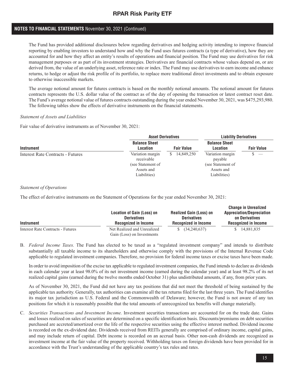### **NOTES TO FINANCIAL STATEMENTS** November 30, 2021 (Continued)

The Fund has provided additional disclosures below regarding derivatives and hedging activity intending to improve financial reporting by enabling investors to understand how and why the Fund uses futures contracts (a type of derivative), how they are accounted for and how they affect an entity's results of operations and financial position. The Fund may use derivatives for risk management purposes or as part of its investment strategies. Derivatives are financial contracts whose values depend on, or are derived from, the value of an underlying asset, reference rate or index. The Fund may use derivatives to earn income and enhance returns, to hedge or adjust the risk profile of its portfolio, to replace more traditional direct investments and to obtain exposure to otherwise inaccessible markets.

The average notional amount for futures contracts is based on the monthly notional amounts. The notional amount for futures contracts represents the U.S. dollar value of the contract as of the day of opening the transaction or latest contract reset date. The Fund's average notional value of futures contracts outstanding during the year ended November 30, 2021, was \$475,293,980. The following tables show the effects of derivative instruments on the financial statements.

#### *Statement of Assets and Liabilities*

Fair value of derivative instruments as of November 30, 2021:

|                                   | <b>Asset Derivatives</b>                                                          | <b>Liability Derivatives</b> |                                                                                |                   |
|-----------------------------------|-----------------------------------------------------------------------------------|------------------------------|--------------------------------------------------------------------------------|-------------------|
| <b>Instrument</b>                 | <b>Balance Sheet</b><br>Location                                                  | <b>Fair Value</b>            | <b>Balance Sheet</b><br>Location                                               | <b>Fair Value</b> |
| Interest Rate Contracts - Futures | Variation margin<br>receivable<br>(see Statement of<br>Assets and<br>Liabilities) | 14,849,250                   | Variation margin<br>payable<br>(see Statement of<br>Assets and<br>Liabilities) |                   |

#### *Statement of Operations*

The effect of derivative instruments on the Statement of Operations for the year ended November 30, 2021:

|                                   | Location of Gain (Loss) on<br><b>Derivatives</b> | <b>Realized Gain (Loss) on</b><br><b>Derivatives</b> | <b>Change in Unrealized</b><br><b>Appreciation/Depreciation</b><br>on Derivatives |  |  |
|-----------------------------------|--------------------------------------------------|------------------------------------------------------|-----------------------------------------------------------------------------------|--|--|
| <b>Instrument</b>                 | <b>Recognized in Income</b>                      | <b>Recognized in Income</b>                          | <b>Recognized in Income</b>                                                       |  |  |
| Interest Rate Contracts - Futures | Net Realized and Unrealized                      | $\frac{1}{2}$ (34,240,637)                           | \$ 14.881.835                                                                     |  |  |
|                                   | Gain (Loss) on Investments                       |                                                      |                                                                                   |  |  |

B. *Federal Income Taxes.* The Fund has elected to be taxed as a "regulated investment company" and intends to distribute substantially all taxable income to its shareholders and otherwise comply with the provisions of the Internal Revenue Code applicable to regulated investment companies. Therefore, no provision for federal income taxes or excise taxes have been made.

In order to avoid imposition of the excise tax applicable to regulated investment companies, the Fund intends to declare as dividends in each calendar year at least 98.0% of its net investment income (earned during the calendar year) and at least 98.2% of its net realized capital gains (earned during the twelve months ended October 31) plus undistributed amounts, if any, from prior years.

As of November 30, 2021, the Fund did not have any tax positions that did not meet the threshold of being sustained by the applicable tax authority. Generally, tax authorities can examine all the tax returns filed for the last three years. The Fund identifies its major tax jurisdiction as U.S. Federal and the Commonwealth of Delaware; however, the Fund is not aware of any tax positions for which it is reasonably possible that the total amounts of unrecognized tax benefits will change materially.

C. *Securities Transactions and Investment Income.* Investment securities transactions are accounted for on the trade date. Gains and losses realized on sales of securities are determined on a specific identification basis. Discounts/premiums on debt securities purchased are accreted/amortized over the life of the respective securities using the effective interest method. Dividend income is recorded on the ex-dividend date. Dividends received from REITs generally are comprised of ordinary income, capital gains, and may include return of capital. Debt income is recorded on an accrual basis. Other non-cash dividends are recognized as investment income at the fair value of the property received. Withholding taxes on foreign dividends have been provided for in accordance with the Trust's understanding of the applicable country's tax rules and rates.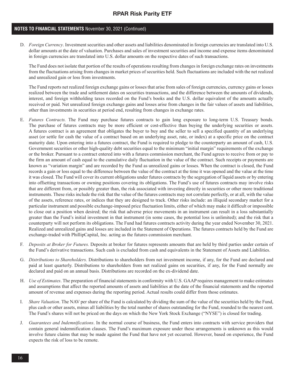### **NOTES TO FINANCIAL STATEMENTS** November 30, 2021 (Continued)

D. *Foreign Currency*. Investment securities and other assets and liabilities denominated in foreign currencies are translated into U.S. dollar amounts at the date of valuation. Purchases and sales of investment securities and income and expense items denominated in foreign currencies are translated into U.S. dollar amounts on the respective dates of such transactions.

The Fund does not isolate that portion of the results of operations resulting from changes in foreign exchange rates on investments from the fluctuations arising from changes in market prices of securities held. Such fluctuations are included with the net realized and unrealized gain or loss from investments.

The Fund reports net realized foreign exchange gains or losses that arise from sales of foreign currencies, currency gains or losses realized between the trade and settlement dates on securities transactions, and the difference between the amounts of dividends, interest, and foreign withholding taxes recorded on the Fund's books and the U.S. dollar equivalent of the amounts actually received or paid. Net unrealized foreign exchange gains and losses arise from changes in the fair values of assets and liabilities, other than investments in securities at period end, resulting from changes in exchange rates.

- E. *Futures Contracts.* The Fund may purchase futures contracts to gain long exposure to long-term U.S. Treasury bonds. The purchase of futures contracts may be more efficient or cost-effective than buying the underlying securities or assets. A futures contract is an agreement that obligates the buyer to buy and the seller to sell a specified quantity of an underlying asset (or settle for cash the value of a contract based on an underlying asset, rate, or index) at a specific price on the contract maturity date. Upon entering into a futures contract, the Fund is required to pledge to the counterparty an amount of cash, U.S. Government securities or other high-quality debt securities equal to the minimum "initial margin" requirements of the exchange or the broker. Pursuant to a contract entered into with a futures commission merchant, the Fund agrees to receive from or pay to the firm an amount of cash equal to the cumulative daily fluctuation in the value of the contract. Such receipts or payments are known as "variation margin" and are recorded by the Fund as unrealized gains or losses. When the contract is closed, the Fund records a gain or loss equal to the difference between the value of the contract at the time it was opened and the value at the time it was closed. The Fund will cover its current obligations under futures contracts by the segregation of liquid assets or by entering into offsetting transactions or owning positions covering its obligations. The Fund's use of futures contracts may involve risks that are different from, or possibly greater than, the risk associated with investing directly in securities or other more traditional instruments. These risks include the risk that the value of the futures contracts may not correlate perfectly, or at all, with the value of the assets, reference rates, or indices that they are designed to track. Other risks include: an illiquid secondary market for a particular instrument and possible exchange-imposed price fluctuation limits, either of which may make it difficult or impossible to close out a position when desired; the risk that adverse price movements in an instrument can result in a loss substantially greater than the Fund's initial investment in that instrument (in some cases, the potential loss is unlimited); and the risk that a counterparty will not perform its obligations. The Fund had futures contracts activity during the year ended November 30, 2021. Realized and unrealized gains and losses are included in the Statement of Operations. The futures contracts held by the Fund are exchange-traded with PhillipCapital, Inc. acting as the futures commission merchant.
- F. *Deposits at Broker for Futures.* Deposits at broker for futures represents amounts that are held by third parties under certain of the Fund's derivative transactions. Such cash is excluded from cash and equivalents in the Statement of Assets and Liabilities.
- G. *Distributions to Shareholders.* Distributions to shareholders from net investment income, if any, for the Fund are declared and paid at least quarterly. Distributions to shareholders from net realized gains on securities, if any, for the Fund normally are declared and paid on an annual basis. Distributions are recorded on the ex-dividend date.
- H. *Use of Estimates*. The preparation of financial statements in conformity with U.S. GAAP requires management to make estimates and assumptions that affect the reported amounts of assets and liabilities at the date of the financial statements and the reported amount of revenue and expenses during the reporting period. Actual results could differ from those estimates.
- I. *Share Valuation*. The NAV per share of the Fund is calculated by dividing the sum of the value of the securities held by the Fund, plus cash or other assets, minus all liabilities by the total number of shares outstanding for the Fund, rounded to the nearest cent. The Fund's shares will not be priced on the days on which the New York Stock Exchange ("NYSE") is closed for trading.
- J. *Guarantees and Indemnifications*. In the normal course of business, the Fund enters into contracts with service providers that contain general indemnification clauses. The Fund's maximum exposure under these arrangements is unknown as this would involve future claims that may be made against the Fund that have not yet occurred. However, based on experience, the Fund expects the risk of loss to be remote.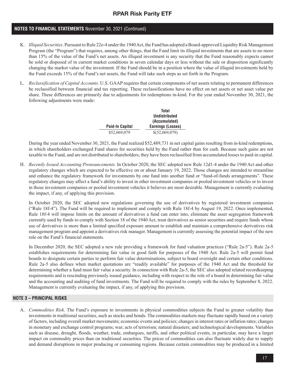### **NOTES TO FINANCIAL STATEMENTS** November 30, 2021 (Continued)

- K. *Illiquid Securities*. Pursuant to Rule 22e-4 under the 1940 Act, the Fund has adopted a Board-approved Liquidity Risk Management Program (the "Program") that requires, among other things, that the Fund limit its illiquid investments that are assets to no more than 15% of the value of the Fund's net assets. An illiquid investment is any security that the Fund reasonably expects cannot be sold or disposed of in current market conditions in seven calendar days or less without the sale or disposition significantly changing the market value of the investment. If the Fund should be in a position where the value of illiquid investments held by the Fund exceeds 15% of the Fund's net assets, the Fund will take such steps as set forth in the Program.
- L. *Reclassification of Capital Accounts*. U.S. GAAP requires that certain components of net assets relating to permanent differences be reclassified between financial and tax reporting. These reclassifications have no effect on net assets or net asset value per share. These differences are primarily due to adjustments for redemptions in-kind. For the year ended November 30, 2021, the following adjustments were made:

|                        | <b>Total</b>             |
|------------------------|--------------------------|
|                        | Undistributed            |
|                        | (Accumulated)            |
| <b>Paid-In Capital</b> | <b>Earnings (Losses)</b> |
| \$52,069,079           | \$(52,069,079)           |

During the year ended November 30, 2021, the Fund realized \$52,489,731 in net capital gains resulting from in-kind redemptions, in which shareholders exchanged Fund shares for securities held by the Fund rather than for cash. Because such gains are not taxable to the Fund, and are not distributed to shareholders, they have been reclassified from accumulated losses to paid-in capital.

H. *Recently Issued Accounting Pronouncements.* In October 2020, the SEC adopted new Rule 12d1-4 under the 1940 Act and other regulatory changes which are expected to be effective on or about January 19, 2022. Those changes are intended to streamline and enhance the regulatory framework for investments by one fund into another fund or "fund-of-funds arrangements". These regulatory changes may affect a fund's ability to invest in other investment companies or pooled investment vehicles or to invest in those investment companies or pooled investment vehicles it believes are most desirable. Management is currently evaluating the impact, if any, of applying this provision.

In October 2020, the SEC adopted new regulations governing the use of derivatives by registered investment companies ("Rule 18f-4"). The Fund will be required to implement and comply with Rule 18f-4 by August 19, 2022. Once implemented, Rule 18f-4 will impose limits on the amount of derivatives a fund can enter into, eliminate the asset segregation framework currently used by funds to comply with Section 18 of the 1940 Act, treat derivatives as senior securities and require funds whose use of derivatives is more than a limited specified exposure amount to establish and maintain a comprehensive derivatives risk management program and appoint a derivatives risk manager. Management is currently assessing the potential impact of the new rule on the Fund's financial statements.

In December 2020, the SEC adopted a new rule providing a framework for fund valuation practices ("Rule 2a-5"). Rule 2a-5 establishes requirements for determining fair value in good faith for purposes of the 1940 Act. Rule 2a-5 will permit fund boards to designate certain parties to perform fair value determinations, subject to board oversight and certain other conditions. Rule 2a-5 also defines when market quotations are "readily available" for purposes of the 1940 Act and the threshold for determining whether a fund must fair value a security. In connection with Rule 2a-5, the SEC also adopted related recordkeeping requirements and is rescinding previously issued guidance, including with respect to the role of a board in determining fair value and the accounting and auditing of fund investments. The Fund will be required to comply with the rules by September 8, 2022. Management is currently evaluating the impact, if any, of applying this provision.

#### **NOTE 3 – PRINCIPAL RISKS**

A. *Commodities Risk*. The Fund's exposure to investments in physical commodities subjects the Fund to greater volatility than investments in traditional securities, such as stocks and bonds. The commodities markets may fluctuate rapidly based on a variety of factors, including overall market movements; economic events and policies; changes in interest rates or inflation rates; changes in monetary and exchange control programs; war; acts of terrorism; natural disasters; and technological developments. Variables such as disease, drought, floods, weather, trade, embargoes, tariffs, and other political events, in particular, may have a larger impact on commodity prices than on traditional securities. The prices of commodities can also fluctuate widely due to supply and demand disruptions in major producing or consuming regions. Because certain commodities may be produced in a limited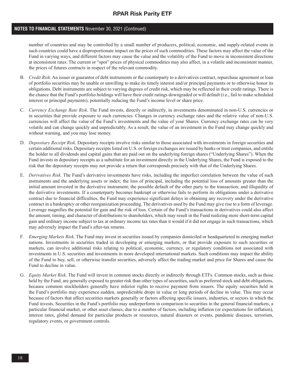### **NOTES TO FINANCIAL STATEMENTS** November 30, 2021 (Continued)

number of countries and may be controlled by a small number of producers, political, economic, and supply-related events in such countries could have a disproportionate impact on the prices of such commodities. These factors may affect the value of the Fund in varying ways, and different factors may cause the value and the volatility of the Fund to move in inconsistent directions at inconsistent rates. The current or "spot" prices of physical commodities may also affect, in a volatile and inconsistent manner, the prices of futures contracts in respect of the relevant commodity.

- B. *Credit Risk*. An issuer or guarantor of debt instruments or the counterparty to a derivatives contract, repurchase agreement or loan of portfolio securities may be unable or unwilling to make its timely interest and/or principal payments or to otherwise honor its obligations. Debt instruments are subject to varying degrees of credit risk, which may be reflected in their credit ratings. There is the chance that the Fund's portfolio holdings will have their credit ratings downgraded or will default (i.e., fail to make scheduled interest or principal payments), potentially reducing the Fund's income level or share price.
- C. *Currency Exchange Rate Risk*. The Fund invests, directly or indirectly, in investments denominated in non-U.S. currencies or in securities that provide exposure to such currencies. Changes in currency exchange rates and the relative value of non-U.S. currencies will affect the value of the Fund's investments and the value of your Shares. Currency exchange rates can be very volatile and can change quickly and unpredictably. As a result, the value of an investment in the Fund may change quickly and without warning, and you may lose money.
- D. *Depositary Receipt Risk.* Depositary receipts involve risks similar to those associated with investments in foreign securities and certain additional risks. Depositary receipts listed on U.S. or foreign exchanges are issued by banks or trust companies, and entitle the holder to all dividends and capital gains that are paid out on the underlying foreign shares ("Underlying Shares"). When the Fund invests in depositary receipts as a substitute for an investment directly in the Underlying Shares, the Fund is exposed to the risk that the depositary receipts may not provide a return that corresponds precisely with that of the Underlying Shares.
- E. *Derivatives Risk.* The Fund's derivative investments have risks, including the imperfect correlation between the value of such instruments and the underlying assets or index; the loss of principal, including the potential loss of amounts greater than the initial amount invested in the derivative instrument; the possible default of the other party to the transaction; and illiquidity of the derivative investments. If a counterparty becomes bankrupt or otherwise fails to perform its obligations under a derivative contract due to financial difficulties, the Fund may experience significant delays in obtaining any recovery under the derivative contract in a bankruptcy or other reorganization proceeding. The derivatives used by the Fund may give rise to a form of leverage. Leverage magnifies the potential for gain and the risk of loss. Certain of the Fund's transactions in derivatives could also affect the amount, timing, and character of distributions to shareholders, which may result in the Fund realizing more short-term capital gain and ordinary income subject to tax at ordinary income tax rates than it would if it did not engage in such transactions, which may adversely impact the Fund's after-tax returns.
- F. *Emerging Markets Risk*. The Fund may invest in securities issued by companies domiciled or headquartered in emerging market nations. Investments in securities traded in developing or emerging markets, or that provide exposure to such securities or markets, can involve additional risks relating to political, economic, currency, or regulatory conditions not associated with investments in U.S. securities and investments in more developed international markets. Such conditions may impact the ability of the Fund to buy, sell, or otherwise transfer securities, adversely affect the trading market and price for Shares and cause the Fund to decline in value.
- G. *Equity Market Risk*. The Fund will invest in common stocks directly or indirectly through ETFs. Common stocks, such as those held by the Fund, are generally exposed to greater risk than other types of securities, such as preferred stock and debt obligations, because common stockholders generally have inferior rights to receive payment from issuers. The equity securities held in the Fund's portfolio may experience sudden, unpredictable drops in value or long periods of decline in value. This may occur because of factors that affect securities markets generally or factors affecting specific issuers, industries, or sectors in which the Fund invests. Securities in the Fund's portfolio may underperform in comparison to securities in the general financial markets, a particular financial market, or other asset classes, due to a number of factors, including inflation (or expectations for inflation), interest rates, global demand for particular products or resources, natural disasters or events, pandemic diseases, terrorism, regulatory events, or government controls.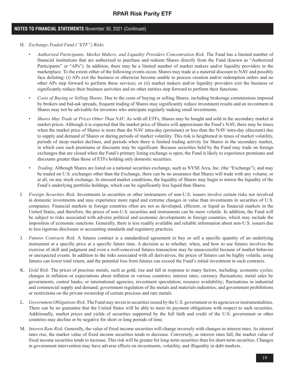### **NOTES TO FINANCIAL STATEMENTS** November 30, 2021 (Continued)

- H. *Exchange-Traded Fund ("ETF") Risks.*
	- *Authorized Participants, Market Makers, and Liquidity Providers Concentration Risk*. The Fund has a limited number of financial institutions that are authorized to purchase and redeem Shares directly from the Fund (known as "Authorized Participants" or "APs"). In addition, there may be a limited number of market makers and/or liquidity providers in the marketplace. To the extent either of the following events occur, Shares may trade at a material discount to NAV and possibly face delisting: (i) APs exit the business or otherwise become unable to process creation and/or redemption orders and no other APs step forward to perform these services; or (ii) market makers and/or liquidity providers exit the business or significantly reduce their business activities and no other entities step forward to perform their functions.
	- *Costs of Buying or Selling Shares*. Due to the costs of buying or selling Shares, including brokerage commissions imposed by brokers and bid-ask spreads, frequent trading of Shares may significantly reduce investment results and an investment in Shares may not be advisable for investors who anticipate regularly making small investments.
	- *Shares May Trade at Prices Other Than NAV*. As with all ETFs, Shares may be bought and sold in the secondary market at market prices. Although it is expected that the market price of Shares will approximate the Fund's NAV, there may be times when the market price of Shares is more than the NAV intra-day (premium) or less than the NAV intra-day (discount) due to supply and demand of Shares or during periods of market volatility. This risk is heightened in times of market volatility, periods of steep market declines, and periods when there is limited trading activity for Shares in the secondary market, in which case such premiums or discounts may be significant. Because securities held by the Fund may trade on foreign exchanges that are closed when the Fund's primary listing exchange is open, the Fund is likely to experience premiums and discounts greater than those of ETFs holding only domestic securities.
	- *Trading*. Although Shares are listed on a national securities exchange, such as NYSE Arca, Inc. (the "Exchange"), and may be traded on U.S. exchanges other than the Exchange, there can be no assurance that Shares will trade with any volume, or at all, on any stock exchange. In stressed market conditions, the liquidity of Shares may begin to mirror the liquidity of the Fund's underlying portfolio holdings, which can be significantly less liquid than Shares.
- I. *Foreign Securities Risk.* Investments in securities or other instruments of non-U.S. issuers involve certain risks not involved in domestic investments and may experience more rapid and extreme changes in value than investments in securities of U.S. companies. Financial markets in foreign countries often are not as developed, efficient, or liquid as financial markets in the United States, and therefore, the prices of non-U.S. securities and instruments can be more volatile. In addition, the Fund will be subject to risks associated with adverse political and economic developments in foreign countries, which may include the imposition of economic sanctions. Generally, there is less readily available and reliable information about non-U.S. issuers due to less rigorous disclosure or accounting standards and regulatory practices.
- J. *Futures Contracts Risk.* A futures contract is a standardized agreement to buy or sell a specific quantity of an underlying instrument at a specific price at a specific future time. A decision as to whether, when, and how to use futures involves the exercise of skill and judgment and even a well-conceived futures transaction may be unsuccessful because of market behavior or unexpected events. In addition to the risks associated with all derivatives, the prices of futures can be highly volatile, using futures can lower total return, and the potential loss from futures can exceed the Fund's initial investment in such contracts.
- K. *Gold Risk.* The prices of precious metals, such as gold, rise and fall in response to many factors, including: economic cycles; changes in inflation or expectations about inflation in various countries; interest rates; currency fluctuations; metal sales by governments, central banks, or international agencies; investment speculation; resource availability; fluctuations in industrial and commercial supply and demand; government regulation of the metals and materials industries; and government prohibitions or restrictions on the private ownership of certain precious and rare metals.
- L. *Government Obligations Risk*. The Fund may invest in securities issued by the U.S. government or its agencies or instrumentalities. There can be no guarantee that the United States will be able to meet its payment obligations with respect to such securities. Additionally, market prices and yields of securities supported by the full faith and credit of the U.S. government or other countries may decline or be negative for short or long periods of time.
- M. *Interest Rate Risk*. Generally, the value of fixed income securities will change inversely with changes in interest rates. As interest rates rise, the market value of fixed income securities tends to decrease. Conversely, as interest rates fall, the market value of fixed income securities tends to increase. This risk will be greater for long-term securities than for short-term securities. Changes in government intervention may have adverse effects on investments, volatility, and illiquidity in debt markets.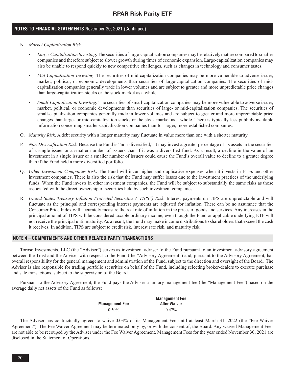### **NOTES TO FINANCIAL STATEMENTS** November 30, 2021 (Continued)

- N. *Market Capitalization Risk*.
	- *Large-Capitalization Investing*. The securities of large-capitalization companies may be relatively mature compared to smaller companies and therefore subject to slower growth during times of economic expansion. Large-capitalization companies may also be unable to respond quickly to new competitive challenges, such as changes in technology and consumer tastes.
	- *Mid-Capitalization Investing*. The securities of mid-capitalization companies may be more vulnerable to adverse issuer, market, political, or economic developments than securities of large-capitalization companies. The securities of midcapitalization companies generally trade in lower volumes and are subject to greater and more unpredictable price changes than large-capitalization stocks or the stock market as a whole.
	- *Small-Capitalization Investing*. The securities of small-capitalization companies may be more vulnerable to adverse issuer, market, political, or economic developments than securities of large- or mid-capitalization companies. The securities of small-capitalization companies generally trade in lower volumes and are subject to greater and more unpredictable price changes than large- or mid-capitalization stocks or the stock market as a whole. There is typically less publicly available information concerning smaller-capitalization companies than for larger, more established companies.
- O. *Maturity Risk*. A debt security with a longer maturity may fluctuate in value more than one with a shorter maturity.
- P. *Non-Diversification Risk.* Because the Fund is "non-diversified," it may invest a greater percentage of its assets in the securities of a single issuer or a smaller number of issuers than if it was a diversified fund. As a result, a decline in the value of an investment in a single issuer or a smaller number of issuers could cause the Fund's overall value to decline to a greater degree than if the Fund held a more diversified portfolio.
- Q. *Other Investment Companies Risk*. The Fund will incur higher and duplicative expenses when it invests in ETFs and other investment companies. There is also the risk that the Fund may suffer losses due to the investment practices of the underlying funds. When the Fund invests in other investment companies, the Fund will be subject to substantially the same risks as those associated with the direct ownership of securities held by such investment companies.
- R. *United States Treasury Inflation Protected Securities ("TIPS") Risk*. Interest payments on TIPS are unpredictable and will fluctuate as the principal and corresponding interest payments are adjusted for inflation. There can be no assurance that the Consumer Price Index will accurately measure the real rate of inflation in the prices of goods and services. Any increases in the principal amount of TIPS will be considered taxable ordinary income, even though the Fund or applicable underlying ETF will not receive the principal until maturity. As a result, the Fund may make income distributions to shareholders that exceed the cash it receives. In addition, TIPS are subject to credit risk, interest rate risk, and maturity risk.

#### **NOTE 4 – COMMITMENTS AND OTHER RELATED PARTY TRANSACTIONS**

Toroso Investments, LLC (the "Adviser") serves as investment adviser to the Fund pursuant to an investment advisory agreement between the Trust and the Adviser with respect to the Fund (the "Advisory Agreement") and, pursuant to the Advisory Agreement, has overall responsibility for the general management and administration of the Fund, subject to the direction and oversight of the Board. The Adviser is also responsible for trading portfolio securities on behalf of the Fund, including selecting broker-dealers to execute purchase and sale transactions, subject to the supervision of the Board.

Pursuant to the Advisory Agreement, the Fund pays the Adviser a unitary management fee (the "Management Fee") based on the average daily net assets of the Fund as follows:

|                       | <b>Management Fee</b> |
|-----------------------|-----------------------|
| <b>Management Fee</b> | <b>After Waiver</b>   |
| $0.50\%$              | $0.47\%$              |

The Adviser has contractually agreed to waive 0.03% of its Management Fee until at least March 31, 2022 (the "Fee Waiver Agreement"). The Fee Waiver Agreement may be terminated only by, or with the consent of, the Board. Any waived Management Fees are not able to be recouped by the Adviser under the Fee Waiver Agreement. Management Fees for the year ended November 30, 2021 are disclosed in the Statement of Operations.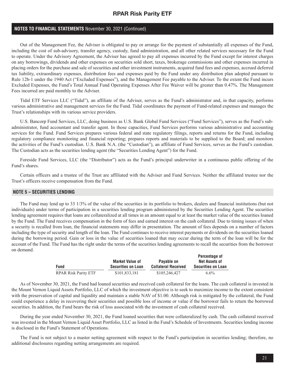### **NOTES TO FINANCIAL STATEMENTS** November 30, 2021 (Continued)

Out of the Management Fee, the Adviser is obligated to pay or arrange for the payment of substantially all expenses of the Fund, including the cost of sub-advisory, transfer agency, custody, fund administration, and all other related services necessary for the Fund to operate. Under the Advisory Agreement, the Adviser has agreed to pay all expenses incurred by the Fund except for interest charges on any borrowings, dividends and other expenses on securities sold short, taxes, brokerage commissions and other expenses incurred in placing orders for the purchase and sale of securities and other investment instruments, acquired fund fees and expenses, accrued deferred tax liability, extraordinary expenses, distribution fees and expenses paid by the Fund under any distribution plan adopted pursuant to Rule 12b-1 under the 1940 Act ("Excluded Expenses"), and the Management Fee payable to the Adviser. To the extent the Fund incurs Excluded Expenses, the Fund's Total Annual Fund Operating Expenses After Fee Waiver will be greater than 0.47%. The Management Fees incurred are paid monthly to the Adviser.

Tidal ETF Services LLC ("Tidal"), an affiliate of the Adviser, serves as the Fund's administrator and, in that capacity, performs various administrative and management services for the Fund. Tidal coordinates the payment of Fund-related expenses and manages the Trust's relationships with its various service providers.

U.S. Bancorp Fund Services, LLC, doing business as U.S. Bank Global Fund Services ("Fund Services"), serves as the Fund's subadministrator, fund accountant and transfer agent. In those capacities, Fund Services performs various administrative and accounting services for the Fund. Fund Services prepares various federal and state regulatory filings, reports and returns for the Fund, including regulatory compliance monitoring and financial reporting; prepares reports and materials to be supplied to the Board; and monitors the activities of the Fund's custodian. U.S. Bank N.A. (the "Custodian"), an affiliate of Fund Services, serves as the Fund's custodian. The Custodian acts as the securities lending agent (the "Securities Lending Agent") for the Fund.

Foreside Fund Services, LLC (the "Distributor") acts as the Fund's principal underwriter in a continuous public offering of the Fund's shares.

Certain officers and a trustee of the Trust are affiliated with the Adviser and Fund Services. Neither the affiliated trustee nor the Trust's officers receive compensation from the Fund.

#### **NOTE 5 – SECURITIES LENDING**

The Fund may lend up to 33 1/3% of the value of the securities in its portfolio to brokers, dealers and financial institutions (but not individuals) under terms of participation in a securities lending program administered by the Securities Lending Agent. The securities lending agreement requires that loans are collateralized at all times in an amount equal to at least the market value of the securities loaned by the Fund. The Fund receives compensation in the form of fees and earned interest on the cash collateral. Due to timing issues of when a security is recalled from loan, the financial statements may differ in presentation. The amount of fees depends on a number of factors including the type of security and length of the loan. The Fund continues to receive interest payments or dividends on the securities loaned during the borrowing period. Gain or loss in the value of securities loaned that may occur during the term of the loan will be for the account of the Fund. The Fund has the right under the terms of the securities lending agreements to recall the securities from the borrower on demand.

| <b>Fund</b>                 | <b>Market Value of</b><br><b>Securities on Loan</b> | Pavable on<br><b>Collateral Received</b> | <b>Percentage of</b><br>Net Assets of<br><b>Securities on Loan</b> |
|-----------------------------|-----------------------------------------------------|------------------------------------------|--------------------------------------------------------------------|
| <b>RPAR Risk Parity ETF</b> | \$101.833.181                                       | \$105,246,427                            | $6.6\%$                                                            |

**Percentage of** 

As of November 30, 2021, the Fund had loaned securities and received cash collateral for the loans. The cash collateral is invested in the Mount Vernon Liquid Assets Portfolio, LLC of which the investment objective is to seek to maximize income to the extent consistent with the preservation of capital and liquidity and maintain a stable NAV of \$1.00. Although risk is mitigated by the collateral, the Fund could experience a delay in recovering their securities and possible loss of income or value if the borrower fails to return the borrowed securities. In addition, the Fund bears the risk of loss associated with the investment of cash collateral received.

During the year ended November 30, 2021, the Fund loaned securities that were collateralized by cash. The cash collateral received was invested in the Mount Vernon Liquid Asset Portfolio, LLC as listed in the Fund's Schedule of Investments. Securities lending income is disclosed in the Fund's Statement of Operations.

The Fund is not subject to a master netting agreement with respect to the Fund's participation in securities lending; therefore, no additional disclosures regarding netting arrangements are required.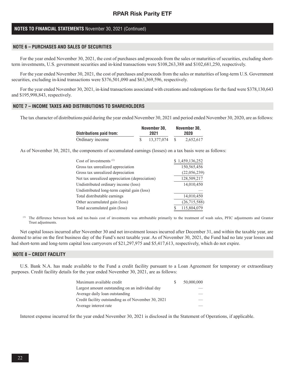### **NOTES TO FINANCIAL STATEMENTS** November 30, 2021 (Continued)

### **NOTE 6 – PURCHASES AND SALES OF SECURITIES**

For the year ended November 30, 2021, the cost of purchases and proceeds from the sales or maturities of securities, excluding shortterm investments, U.S. government securities and in-kind transactions were \$108,263,388 and \$102,681,250, respectively.

For the year ended November 30, 2021, the cost of purchases and proceeds from the sales or maturities of long-term U.S. Government securities, excluding in-kind transactions were \$376,501,090 and \$63,369,596, respectively.

For the year ended November 30, 2021, in-kind transactions associated with creations and redemptions for the fund were \$378,130,643 and \$195,998,843, respectively.

### **NOTE 7 – INCOME TAXES AND DISTRIBUTIONS TO SHAREHOLDERS**

The tax character of distributions paid during the year ended November 30, 2021 and period ended November 30, 2020, are as follows:

|                          | November 30. | November 30. |           |  |
|--------------------------|--------------|--------------|-----------|--|
| Distributions paid from: | 2021         |              | 2020      |  |
| Ordinary income          | 13.377.074   |              | 2.652.617 |  |

As of November 30, 2021, the components of accumulated earnings (losses) on a tax basis were as follows:

| Cost of investments $(1)$                      | \$1,459,136,252 |
|------------------------------------------------|-----------------|
| Gross tax unrealized appreciation              | 150,565,456     |
| Gross tax unrealized depreciation              | (22,056,239)    |
| Net tax unrealized appreciation (depreciation) | 128,509,217     |
| Undistributed ordinary income (loss)           | 14,010,450      |
| Undistributed long-term capital gain (loss)    |                 |
| Total distributable earnings                   | 14,010,450      |
| Other accumulated gain (loss)                  | (26, 715, 588)  |
| Total accumulated gain (loss)                  | 115,804,079     |
|                                                |                 |

The difference between book and tax-basis cost of investments was attributable primarily to the treatment of wash sales, PFIC adjustments and Grantor Trust adjustments.

Net capital losses incurred after November 30 and net investment losses incurred after December 31, and within the taxable year, are deemed to arise on the first business day of the Fund's next taxable year. As of November 30, 2021, the Fund had no late year losses and had short-term and long-term capital loss carryovers of \$21,297,975 and \$5,417,613, respectively, which do not expire.

### **NOTE 8 – CREDIT FACILITY**

U.S. Bank N.A. has made available to the Fund a credit facility pursuant to a Loan Agreement for temporary or extraordinary purposes. Credit facility details for the year ended November 30, 2021, are as follows:

| Maximum available credit                            | 50,000,000 |
|-----------------------------------------------------|------------|
| Largest amount outstanding on an individual day     |            |
| Average daily loan outstanding                      |            |
| Credit facility outstanding as of November 30, 2021 |            |
| Average interest rate                               |            |

Interest expense incurred for the year ended November 30, 2021 is disclosed in the Statement of Operations, if applicable.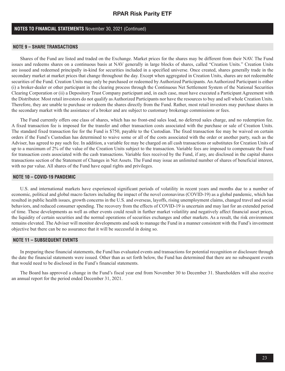### **NOTES TO FINANCIAL STATEMENTS** November 30, 2021 (Continued)

#### **NOTE 9 – SHARE TRANSACTIONS**

Shares of the Fund are listed and traded on the Exchange. Market prices for the shares may be different from their NAV. The Fund issues and redeems shares on a continuous basis at NAV generally in large blocks of shares, called "Creation Units." Creation Units are issued and redeemed principally in-kind for securities included in a specified universe. Once created, shares generally trade in the secondary market at market prices that change throughout the day. Except when aggregated in Creation Units, shares are not redeemable securities of the Fund. Creation Units may only be purchased or redeemed by Authorized Participants. An Authorized Participant is either (i) a broker-dealer or other participant in the clearing process through the Continuous Net Settlement System of the National Securities Clearing Corporation or (ii) a Depository Trust Company participant and, in each case, must have executed a Participant Agreement with the Distributor. Most retail investors do not qualify as Authorized Participants nor have the resources to buy and sell whole Creation Units. Therefore, they are unable to purchase or redeem the shares directly from the Fund. Rather, most retail investors may purchase shares in the secondary market with the assistance of a broker and are subject to customary brokerage commissions or fees.

The Fund currently offers one class of shares, which has no front-end sales load, no deferred sales charge, and no redemption fee. A fixed transaction fee is imposed for the transfer and other transaction costs associated with the purchase or sale of Creation Units. The standard fixed transaction fee for the Fund is \$750, payable to the Custodian. The fixed transaction fee may be waived on certain orders if the Fund's Custodian has determined to waive some or all of the costs associated with the order or another party, such as the Adviser, has agreed to pay such fee. In addition, a variable fee may be charged on all cash transactions or substitutes for Creation Units of up to a maximum of 2% of the value of the Creation Units subject to the transaction. Variable fees are imposed to compensate the Fund for transaction costs associated with the cash transactions. Variable fees received by the Fund, if any, are disclosed in the capital shares transactions section of the Statement of Changes in Net Assets. The Fund may issue an unlimited number of shares of beneficial interest, with no par value. All shares of the Fund have equal rights and privileges.

#### **NOTE 10 – COVID-19 PANDEMIC**

U.S. and international markets have experienced significant periods of volatility in recent years and months due to a number of economic, political and global macro factors including the impact of the novel coronavirus (COVID-19) as a global pandemic, which has resulted in public health issues, growth concerns in the U.S. and overseas, layoffs, rising unemployment claims, changed travel and social behaviors, and reduced consumer spending. The recovery from the effects of COVID-19 is uncertain and may last for an extended period of time. These developments as well as other events could result in further market volatility and negatively affect financial asset prices, the liquidity of certain securities and the normal operations of securities exchanges and other markets. As a result, the risk environment remains elevated. The Adviser will monitor developments and seek to manage the Fund in a manner consistent with the Fund's investment objective but there can be no assurance that it will be successful in doing so.

#### **NOTE 11 – SUBSEQUENT EVENTS**

In preparing these financial statements, the Fund has evaluated events and transactions for potential recognition or disclosure through the date the financial statements were issued. Other than as set forth below, the Fund has determined that there are no subsequent events that would need to be disclosed in the Fund's financial statements.

The Board has approved a change in the Fund's fiscal year end from November 30 to December 31. Shareholders will also receive an annual report for the period ended December 31, 2021.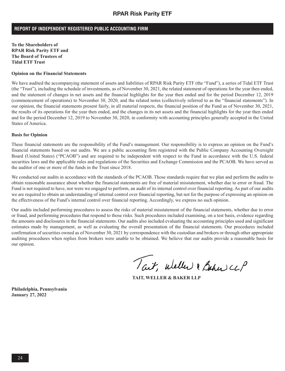### **REPORT OF INDEPENDENT REGISTERED PUBLIC ACCOUNTING FIRM**

**To the Shareholders of RPAR Risk Parity ETF and The Board of Trustees of Tidal ETF Trust**

#### **Opinion on the Financial Statements**

We have audited the accompanying statement of assets and liabilities of RPAR Risk Parity ETF (the "Fund"), a series of Tidal ETF Trust (the "Trust"), including the schedule of investments, as of November 30, 2021, the related statement of operations for the year then ended, and the statement of changes in net assets and the financial highlights for the year then ended and for the period December 12, 2019 (commencement of operations) to November 30, 2020, and the related notes (collectively referred to as the "financial statements"). In our opinion, the financial statements present fairly, in all material respects, the financial position of the Fund as of November 30, 2021, the results of its operations for the year then ended, and the changes in its net assets and the financial highlights for the year then ended and for the period December 12, 2019 to November 30, 2020, in conformity with accounting principles generally accepted in the United States of America.

#### **Basis for Opinion**

These financial statements are the responsibility of the Fund's management. Our responsibility is to express an opinion on the Fund's financial statements based on our audits. We are a public accounting firm registered with the Public Company Accounting Oversight Board (United States) ("PCAOB") and are required to be independent with respect to the Fund in accordance with the U.S. federal securities laws and the applicable rules and regulations of the Securities and Exchange Commission and the PCAOB. We have served as the auditor of one or more of the funds in the Trust since 2018.

We conducted our audits in accordance with the standards of the PCAOB. Those standards require that we plan and perform the audits to obtain reasonable assurance about whether the financial statements are free of material misstatement, whether due to error or fraud. The Fund is not required to have, nor were we engaged to perform, an audit of its internal control over financial reporting. As part of our audits we are required to obtain an understanding of internal control over financial reporting, but not for the purpose of expressing an opinion on the effectiveness of the Fund's internal control over financial reporting. Accordingly, we express no such opinion.

Our audits included performing procedures to assess the risks of material misstatement of the financial statements, whether due to error or fraud, and performing procedures that respond to those risks. Such procedures included examining, on a test basis, evidence regarding the amounts and disclosures in the financial statements. Our audits also included evaluating the accounting principles used and significant estimates made by management, as well as evaluating the overall presentation of the financial statements. Our procedures included confirmation of securities owned as of November 30, 2021 by correspondence with the custodian and brokers or through other appropriate auditing procedures when replies from brokers were unable to be obtained. We believe that our audits provide a reasonable basis for our opinion.

Tait, weller & Baher CLP

**TAIT, WELLER & BAKER LLP**

**Philadelphia, Pennsylvania January 27, 2022**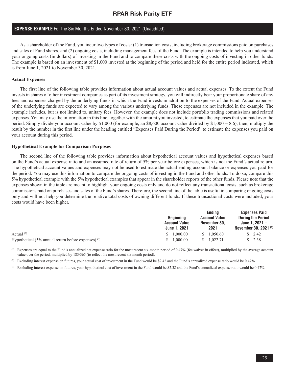### **EXPENSE EXAMPLE** For the Six Months Ended November 30, 2021 (Unaudited)

As a shareholder of the Fund, you incur two types of costs: (1) transaction costs, including brokerage commissions paid on purchases and sales of Fund shares, and (2) ongoing costs, including management fees of the Fund. The example is intended to help you understand your ongoing costs (in dollars) of investing in the Fund and to compare these costs with the ongoing costs of investing in other funds. The example is based on an investment of \$1,000 invested at the beginning of the period and held for the entire period indicated, which is from June 1, 2021 to November 30, 2021.

#### **Actual Expenses**

The first line of the following table provides information about actual account values and actual expenses. To the extent the Fund invests in shares of other investment companies as part of its investment strategy, you will indirectly bear your proportionate share of any fees and expenses charged by the underlying funds in which the Fund invests in addition to the expenses of the Fund. Actual expenses of the underlying funds are expected to vary among the various underlying funds. These expenses are not included in the example. The example includes, but is not limited to, unitary fees. However, the example does not include portfolio trading commissions and related expenses. You may use the information in this line, together with the amount you invested, to estimate the expenses that you paid over the period. Simply divide your account value by \$1,000 (for example, an \$8,600 account value divided by \$1,000 = 8.6), then, multiply the result by the number in the first line under the heading entitled "Expenses Paid During the Period'' to estimate the expenses you paid on your account during this period.

#### **Hypothetical Example for Comparison Purposes**

The second line of the following table provides information about hypothetical account values and hypothetical expenses based on the Fund's actual expense ratio and an assumed rate of return of 5% per year before expenses, which is not the Fund's actual return. The hypothetical account values and expenses may not be used to estimate the actual ending account balance or expenses you paid for the period. You may use this information to compare the ongoing costs of investing in the Fund and other funds. To do so, compare this 5% hypothetical example with the 5% hypothetical examples that appear in the shareholder reports of the other funds. Please note that the expenses shown in the table are meant to highlight your ongoing costs only and do not reflect any transactional costs, such as brokerage commissions paid on purchases and sales of the Fund's shares. Therefore, the second line of the table is useful in comparing ongoing costs only and will not help you determine the relative total costs of owning different funds. If these transactional costs were included, your costs would have been higher.

|                                                       | <b>Beginning</b><br><b>Account Value</b> | <b>Ending</b><br><b>Account Value</b><br>November 30. | <b>Expenses Paid</b><br><b>During the Period</b><br>June 1, 2021 – |  |
|-------------------------------------------------------|------------------------------------------|-------------------------------------------------------|--------------------------------------------------------------------|--|
|                                                       | <b>June 1, 2021</b>                      | 2021                                                  | November 30, 2021 <sup>(1)</sup>                                   |  |
| Actual $(2)$                                          | 0.0001<br>Æ.                             | 1.050.60                                              | $\frac{\$}{2.42}$                                                  |  |
| Hypothetical (5% annual return before expenses) $(3)$ | .000.00                                  | .022.71                                               | $\frac{\$}{2.38}$                                                  |  |

 $^{(1)}$  Expenses are equal to the Fund's annualized net expense ratio for the most recent six-month period of 0.47% (fee waiver in effect), multiplied by the average account value over the period, multiplied by 183/365 (to reflect the most recent six month period).

(2) Excluding interest expense on futures, your actual cost of investment in the Fund would be \$2.42 and the Fund's annualized expense ratio would be  $0.47\%$ .

(3) Excluding interest expense on futures, your hypothetical cost of investment in the Fund would be \$2.38 and the Fund's annualized expense ratio would be 0.47%.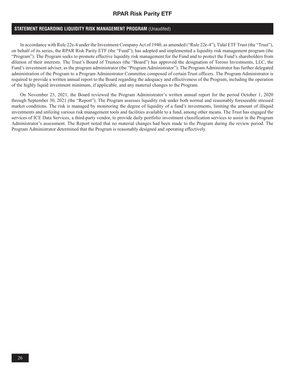### **STATEMENT REGARDING LIQUIDITY RISK MANAGEMENT PROGRAM** (Unaudited)

In accordance with Rule 22e-4 under the Investment Company Act of 1940, as amended ("Rule 22e-4"), Tidal ETF Trust (the "Trust"), on behalf of its series, the RPAR Risk Parity ETF (the "Fund"), has adopted and implemented a liquidity risk management program (the "Program"). The Program seeks to promote effective liquidity risk management for the Fund and to protect the Fund's shareholders from dilution of their interests. The Trust's Board of Trustees (the "Board") has approved the designation of Toroso Investments, LLC, the Fund's investment adviser, as the program administrator (the "Program Administrator"). The Program Administrator has further delegated administration of the Program to a Program Administrator Committee composed of certain Trust officers. The Program Administrator is required to provide a written annual report to the Board regarding the adequacy and effectiveness of the Program, including the operation of the highly liquid investment minimum, if applicable, and any material changes to the Program.

On November 23, 2021, the Board reviewed the Program Administrator's written annual report for the period October 1, 2020 through September 30, 2021 (the "Report"). The Program assesses liquidity risk under both normal and reasonably foreseeable stressed market conditions. The risk is managed by monitoring the degree of liquidity of a fund's investments, limiting the amount of illiquid investments and utilizing various risk management tools and facilities available to a fund, among other means. The Trust has engaged the services of ICE Data Services, a third-party vendor, to provide daily portfolio investment classification services to assist in the Program Administrator's assessment. The Report noted that no material changes had been made to the Program during the review period. The Program Administrator determined that the Program is reasonably designed and operating effectively.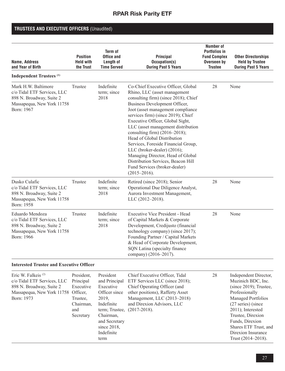## **TRUSTEES AND EXECUTIVE OFFICERS** (Unaudited)

| Name, Address<br>and Year of Birth                                                                                                             | <b>Position</b><br><b>Held with</b><br>the Trust                                  | Term of<br><b>Office and</b><br>Length of<br><b>Time Served</b>                                                                                                                   | <b>Principal</b><br>Occupation(s)<br><b>During Past 5 Years</b>                                                                                                                                                                                                                                                                                                                                                                                                                                                                                                           | <b>Number of</b><br><b>Portfolios in</b><br><b>Fund Complex</b><br>Overseen by<br><b>Trustee</b> | <b>Other Directorships</b><br><b>Held by Trustee</b><br><b>During Past 5 Years</b>                                                                                                                                                                                       |
|------------------------------------------------------------------------------------------------------------------------------------------------|-----------------------------------------------------------------------------------|-----------------------------------------------------------------------------------------------------------------------------------------------------------------------------------|---------------------------------------------------------------------------------------------------------------------------------------------------------------------------------------------------------------------------------------------------------------------------------------------------------------------------------------------------------------------------------------------------------------------------------------------------------------------------------------------------------------------------------------------------------------------------|--------------------------------------------------------------------------------------------------|--------------------------------------------------------------------------------------------------------------------------------------------------------------------------------------------------------------------------------------------------------------------------|
| <b>Independent Trustees</b> <sup>(1)</sup>                                                                                                     |                                                                                   |                                                                                                                                                                                   |                                                                                                                                                                                                                                                                                                                                                                                                                                                                                                                                                                           |                                                                                                  |                                                                                                                                                                                                                                                                          |
| Mark H.W. Baltimore<br>c/o Tidal ETF Services, LLC<br>898 N. Broadway, Suite 2<br>Massapequa, New York 11758<br>Born: 1967                     | Trustee                                                                           | Indefinite<br>term; since<br>2018                                                                                                                                                 | Co-Chief Executive Officer, Global<br>Rhino, LLC (asset management<br>consulting firm) (since 2018); Chief<br>Business Development Officer,<br>Joot (asset management compliance<br>services firm) (since 2019); Chief<br>Executive Officer, Global Sight,<br>LLC (asset management distribution<br>consulting firm) $(2016-2018)$ ;<br>Head of Global Distribution<br>Services, Foreside Financial Group,<br>LLC (broker-dealer) (2016);<br>Managing Director, Head of Global<br>Distribution Services, Beacon Hill<br>Fund Services (broker-dealer)<br>$(2015 - 2016).$ | 28                                                                                               | None                                                                                                                                                                                                                                                                     |
| Dusko Culafic<br>c/o Tidal ETF Services, LLC<br>898 N. Broadway, Suite 2<br>Massapequa, New York 11758<br>Born: 1958                           | Trustee                                                                           | Indefinite<br>term; since<br>2018                                                                                                                                                 | Retired (since 2018); Senior<br>Operational Due Diligence Analyst,<br>Aurora Investment Management,<br>LLC (2012-2018).                                                                                                                                                                                                                                                                                                                                                                                                                                                   | 28                                                                                               | None                                                                                                                                                                                                                                                                     |
| Eduardo Mendoza<br>c/o Tidal ETF Services, LLC<br>898 N. Broadway, Suite 2<br>Massapequa, New York 11758<br>Born: 1966                         | Trustee                                                                           | Indefinite<br>term; since<br>2018                                                                                                                                                 | Executive Vice President - Head<br>of Capital Markets & Corporate<br>Development, Credijusto (financial<br>technology company) (since 2017);<br>Founding Partner / Capital Markets<br>& Head of Corporate Development,<br>SQN Latina (specialty finance<br>company) (2016–2017).                                                                                                                                                                                                                                                                                          | 28                                                                                               | None                                                                                                                                                                                                                                                                     |
| <b>Interested Trustee and Executive Officer</b>                                                                                                |                                                                                   |                                                                                                                                                                                   |                                                                                                                                                                                                                                                                                                                                                                                                                                                                                                                                                                           |                                                                                                  |                                                                                                                                                                                                                                                                          |
| Eric W. Falkeis <sup>(2)</sup><br>c/o Tidal ETF Services, LLC<br>898 N. Broadway, Suite 2<br>Massapequa, New York 11758 Officer,<br>Born: 1973 | President,<br>Principal<br>Executive<br>Trustee,<br>Chairman,<br>and<br>Secretary | President<br>and Principal<br>Executive<br>Officer since<br>2019,<br>Indefinite<br>term; Trustee, (2017-2018).<br>Chairman,<br>and Secretary<br>since 2018,<br>Indefinite<br>term | Chief Executive Officer, Tidal<br>ETF Services LLC (since 2018);<br>Chief Operating Officer (and<br>other positions), Rafferty Asset<br>Management, LLC (2013-2018)<br>and Direxion Advisors, LLC                                                                                                                                                                                                                                                                                                                                                                         | 28                                                                                               | Independent Director,<br>Muzinich BDC, Inc.<br>$(since 2019)$ ; Trustee,<br>Professionally<br>Managed Portfolios<br>(27 series) (since<br>2011); Interested<br>Trustee, Direxion<br>Funds, Direxion<br>Shares ETF Trust, and<br>Direxion Insurance<br>Trust (2014-2018). |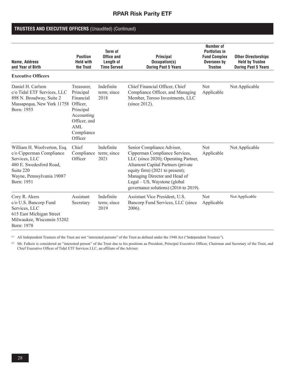### **TRUSTEES AND EXECUTIVE OFFICERS** (Unaudited) (Continued)

| Name, Address<br>and Year of Birth                                                                                                                          | <b>Position</b><br><b>Held with</b><br>the Trust                                                                                   | <b>Term of</b><br><b>Office and</b><br>Length of<br><b>Time Served</b> | <b>Principal</b><br>Occupation(s)<br><b>During Past 5 Years</b>                                                                                                                                                                                                                         | <b>Number of</b><br><b>Portfolios in</b><br><b>Fund Complex</b><br>Overseen by<br><b>Trustee</b> | <b>Other Directorships</b><br><b>Held by Trustee</b><br><b>During Past 5 Years</b> |
|-------------------------------------------------------------------------------------------------------------------------------------------------------------|------------------------------------------------------------------------------------------------------------------------------------|------------------------------------------------------------------------|-----------------------------------------------------------------------------------------------------------------------------------------------------------------------------------------------------------------------------------------------------------------------------------------|--------------------------------------------------------------------------------------------------|------------------------------------------------------------------------------------|
| <b>Executive Officers</b><br>Daniel H. Carlson<br>c/o Tidal ETF Services, LLC<br>898 N. Broadway, Suite 2<br>Massapequa, New York 11758<br>Born: 1955       | Treasurer,<br>Principal<br>Financial<br>Officer,<br>Principal<br>Accounting<br>Officer, and<br><b>AML</b><br>Compliance<br>Officer | Indefinite<br>term; since<br>2018                                      | Chief Financial Officer, Chief<br>Compliance Officer, and Managing<br>Member, Toroso Investments, LLC<br>(since 2012).                                                                                                                                                                  | <b>Not</b><br>Applicable                                                                         | Not Applicable                                                                     |
| William H. Woolverton, Esq.<br>c/o Cipperman Compliance<br>Services, LLC<br>480 E. Swedesford Road,<br>Suite 220<br>Wayne, Pennsylvania 19087<br>Born: 1951 | Chief<br>Compliance<br>Officer                                                                                                     | Indefinite<br>term; since<br>2021                                      | Senior Compliance Advisor,<br>Cipperman Compliance Services,<br>LLC (since 2020); Operating Partner,<br>Altamont Capital Partners (private<br>equity firm) (2021 to present);<br>Managing Director and Head of<br>Legal – US, Waystone (global<br>governance solutions) (2016 to 2019). | <b>Not</b><br>Applicable                                                                         | Not Applicable                                                                     |
| Cory R. Akers<br>c/o U.S. Bancorp Fund<br>Services, LLC<br>615 East Michigan Street<br>Milwaukee, Wisconsin 53202<br>Born: 1978                             | Assistant<br>Secretary                                                                                                             | Indefinite<br>term; since<br>2019                                      | Assistant Vice President, U.S.<br>Bancorp Fund Services, LLC (since<br>2006).                                                                                                                                                                                                           | <b>Not</b><br>Applicable                                                                         | Not Applicable                                                                     |

(1) All Independent Trustees of the Trust are not "interested persons" of the Trust as defined under the 1940 Act ("Independent Trustees").

<sup>(2)</sup> Mr. Falkeis is considered an "interested person" of the Trust due to his positions as President, Principal Executive Officer, Chairman and Secretary of the Trust, and Chief Executive Officer of Tidal ETF Services LLC, an affiliate of the Adviser.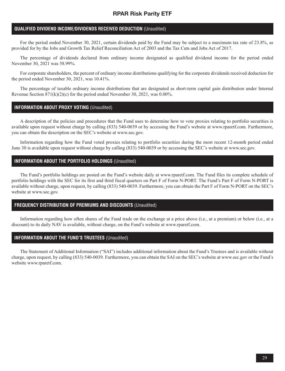### **QUALIFIED DIVIDEND INCOME/DIVIDENDS RECEIVED DEDUCTION** (Unaudited)

For the period ended November 30, 2021, certain dividends paid by the Fund may be subject to a maximum tax rate of 23.8%, as provided for by the Jobs and Growth Tax Relief Reconciliation Act of 2003 and the Tax Cuts and Jobs Act of 2017.

The percentage of dividends declared from ordinary income designated as qualified dividend income for the period ended November 30, 2021 was 58.99%.

For corporate shareholders, the percent of ordinary income distributions qualifying for the corporate dividends received deduction for the period ended November 30, 2021, was 10.41%.

The percentage of taxable ordinary income distributions that are designated as short-term capital gain distribution under Internal Revenue Section  $871(k)(2)(c)$  for the period ended November 30, 2021, was 0.00%.

### **INFORMATION ABOUT PROXY VOTING** (Unaudited)

A description of the policies and procedures that the Fund uses to determine how to vote proxies relating to portfolio securities is available upon request without charge by calling (833) 540-0039 or by accessing the Fund's website at www.rparetf.com. Furthermore, you can obtain the description on the SEC's website at www.sec.gov.

Information regarding how the Fund voted proxies relating to portfolio securities during the most recent 12-month period ended June 30 is available upon request without charge by calling (833) 540-0039 or by accessing the SEC's website at www.sec.gov.

### **INFORMATION ABOUT THE PORTFOLIO HOLDINGS** (Unaudited)

The Fund's portfolio holdings are posted on the Fund's website daily at www.rparetf.com. The Fund files its complete schedule of portfolio holdings with the SEC for its first and third fiscal quarters on Part F of Form N-PORT. The Fund's Part F of Form N-PORT is available without charge, upon request, by calling (833) 540-0039. Furthermore, you can obtain the Part F of Form N-PORT on the SEC's website at www.sec.gov.

### **FREQUENCY DISTRIBUTION OF PREMIUMS AND DISCOUNTS** (Unaudited)

Information regarding how often shares of the Fund trade on the exchange at a price above (i.e., at a premium) or below (i.e., at a discount) to its daily NAV is available, without charge, on the Fund's website at www.rparetf.com.

### **INFORMATION ABOUT THE FUND'S TRUSTEES** (Unaudited)

The Statement of Additional Information ("SAI") includes additional information about the Fund's Trustees and is available without charge, upon request, by calling (833) 540-0039. Furthermore, you can obtain the SAI on the SEC's website at www.sec.gov or the Fund's website www.rparetf.com.